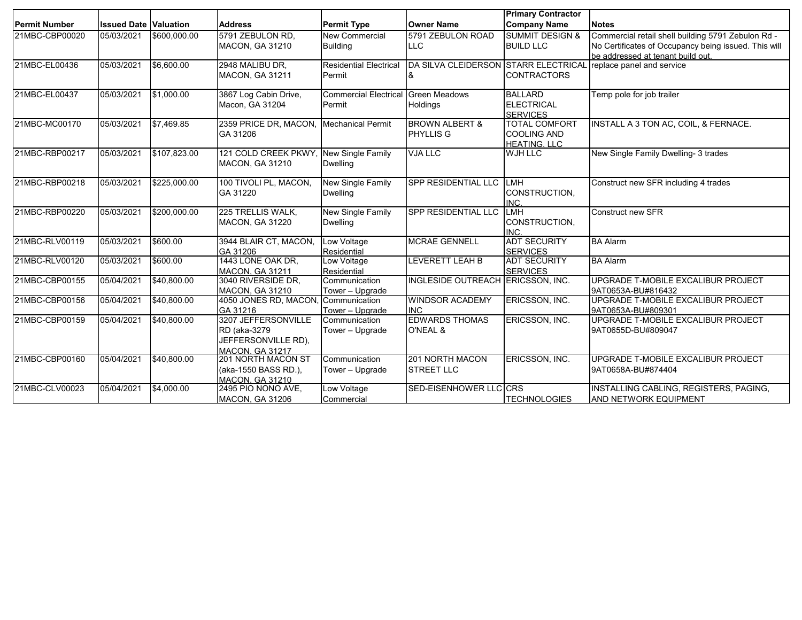|                      |                              |              |                                              |                                     |                                      | <b>Primary Contractor</b>             |                                                      |
|----------------------|------------------------------|--------------|----------------------------------------------|-------------------------------------|--------------------------------------|---------------------------------------|------------------------------------------------------|
| <b>Permit Number</b> | <b>Issued Date Valuation</b> |              | <b>Address</b>                               | <b>Permit Type</b>                  | <b>Owner Name</b>                    | <b>Company Name</b>                   | <b>Notes</b>                                         |
| 21MBC-CBP00020       | 05/03/2021                   | \$600,000.00 | 5791 ZEBULON RD,                             | <b>New Commercial</b>               | 5791 ZEBULON ROAD                    | <b>SUMMIT DESIGN &amp;</b>            | Commercial retail shell building 5791 Zebulon Rd -   |
|                      |                              |              | <b>MACON, GA 31210</b>                       | <b>Building</b>                     | <b>LLC</b>                           | <b>BUILD LLC</b>                      | No Certificates of Occupancy being issued. This will |
|                      |                              |              |                                              |                                     |                                      |                                       | be addressed at tenant build out.                    |
| 21MBC-EL00436        | 05/03/2021                   | \$6,600.00   | 2948 MALIBU DR,<br><b>MACON, GA 31211</b>    | <b>Residential Electrical</b>       | DA SILVA CLEIDERSON STARR ELECTRICAL | <b>CONTRACTORS</b>                    | replace panel and service                            |
|                      |                              |              |                                              | Permit                              | &                                    |                                       |                                                      |
| 21MBC-EL00437        | 05/03/2021                   | \$1,000.00   | 3867 Log Cabin Drive,                        | Commercial Electrical Green Meadows |                                      | <b>BALLARD</b>                        | Temp pole for job trailer                            |
|                      |                              |              | Macon, GA 31204                              | Permit                              | Holdings                             | <b>ELECTRICAL</b>                     |                                                      |
|                      |                              |              |                                              |                                     |                                      | <b>SERVICES</b>                       |                                                      |
| 21MBC-MC00170        | 05/03/2021                   | \$7,469.85   | 2359 PRICE DR, MACON, Mechanical Permit      |                                     | <b>BROWN ALBERT &amp;</b>            | <b>TOTAL COMFORT</b>                  | INSTALL A 3 TON AC, COIL, & FERNACE.                 |
|                      |                              |              | GA 31206                                     |                                     | PHYLLIS G                            | <b>COOLING AND</b>                    |                                                      |
| 21MBC-RBP00217       | 05/03/2021                   | \$107,823.00 | 121 COLD CREEK PKWY                          | <b>New Single Family</b>            | <b>VJA LLC</b>                       | <b>HEATING, LLC</b><br><b>WJH LLC</b> | New Single Family Dwelling- 3 trades                 |
|                      |                              |              | <b>MACON, GA 31210</b>                       | <b>Dwelling</b>                     |                                      |                                       |                                                      |
|                      |                              |              |                                              |                                     |                                      |                                       |                                                      |
| 21MBC-RBP00218       | 05/03/2021                   | \$225,000.00 | 100 TIVOLI PL, MACON,                        | New Single Family                   | SPP RESIDENTIAL LLC LMH              |                                       | Construct new SFR including 4 trades                 |
|                      |                              |              | GA 31220                                     | <b>Dwelling</b>                     |                                      | CONSTRUCTION,                         |                                                      |
|                      |                              |              |                                              |                                     |                                      | INC.                                  |                                                      |
| 21MBC-RBP00220       | 05/03/2021                   | \$200,000.00 | 225 TRELLIS WALK.                            | New Single Family                   | SPP RESIDENTIAL LLC                  | LMH                                   | <b>Construct new SFR</b>                             |
|                      |                              |              | <b>MACON, GA 31220</b>                       | <b>Dwelling</b>                     |                                      | CONSTRUCTION,                         |                                                      |
| 21MBC-RLV00119       | 05/03/2021                   | \$600.00     | 3944 BLAIR CT, MACON,                        | Low Voltage                         | <b>MCRAE GENNELL</b>                 | INC.<br><b>ADT SECURITY</b>           | <b>BA Alarm</b>                                      |
|                      |                              |              | GA 31206                                     | Residential                         |                                      | <b>SERVICES</b>                       |                                                      |
| 21MBC-RLV00120       | 05/03/2021                   | \$600.00     | 1443 LONE OAK DR,                            | Low Voltage                         | <b>LEVERETT LEAH B</b>               | <b>ADT SECURITY</b>                   | <b>BA Alarm</b>                                      |
|                      |                              |              | <b>MACON, GA 31211</b>                       | Residential                         |                                      | <b>SERVICES</b>                       |                                                      |
| 21MBC-CBP00155       | 05/04/2021                   | \$40,800.00  | 3040 RIVERSIDE DR.                           | Communication                       | INGLESIDE OUTREACH ERICSSON, INC.    |                                       | UPGRADE T-MOBILE EXCALIBUR PROJECT                   |
|                      |                              |              | MACON, GA 31210                              | Tower - Upgrade                     |                                      |                                       | 9AT0653A-BU#816432                                   |
| 21MBC-CBP00156       | 05/04/2021                   | \$40,800.00  | 4050 JONES RD, MACON,                        | Communication                       | <b>WINDSOR ACADEMY</b>               | ERICSSON, INC.                        | UPGRADE T-MOBILE EXCALIBUR PROJECT                   |
|                      |                              |              | GA 31216                                     | Tower - Upgrade                     | <b>INC</b>                           |                                       | 9AT0653A-BU#809301                                   |
| 21MBC-CBP00159       | 05/04/2021                   | \$40,800.00  | 3207 JEFFERSONVILLE                          | Communication                       | <b>EDWARDS THOMAS</b>                | ERICSSON, INC.                        | UPGRADE T-MOBILE EXCALIBUR PROJECT                   |
|                      |                              |              | RD (aka-3279                                 | Tower - Upgrade                     | O'NEAL &                             |                                       | 9AT0655D-BU#809047                                   |
|                      |                              |              | JEFFERSONVILLE RD).                          |                                     |                                      |                                       |                                                      |
|                      |                              |              | <b>MACON, GA 31217</b>                       |                                     |                                      |                                       |                                                      |
| 21MBC-CBP00160       | 05/04/2021                   | \$40,800.00  | <b>201 NORTH MACON ST</b>                    | Communication                       | 201 NORTH MACON                      | ERICSSON, INC.                        | UPGRADE T-MOBILE EXCALIBUR PROJECT                   |
|                      |                              |              | (aka-1550 BASS RD.),                         | Tower - Upgrade                     | <b>STREET LLC</b>                    |                                       | 9AT0658A-BU#874404                                   |
| 21MBC-CLV00023       | 05/04/2021                   | \$4,000.00   | <b>MACON, GA 31210</b><br>2495 PIO NONO AVE, | Low Voltage                         | SED-EISENHOWER LLC CRS               |                                       | INSTALLING CABLING, REGISTERS, PAGING,               |
|                      |                              |              | <b>MACON, GA 31206</b>                       | Commercial                          |                                      | <b>TECHNOLOGIES</b>                   | <b>AND NETWORK EQUIPMENT</b>                         |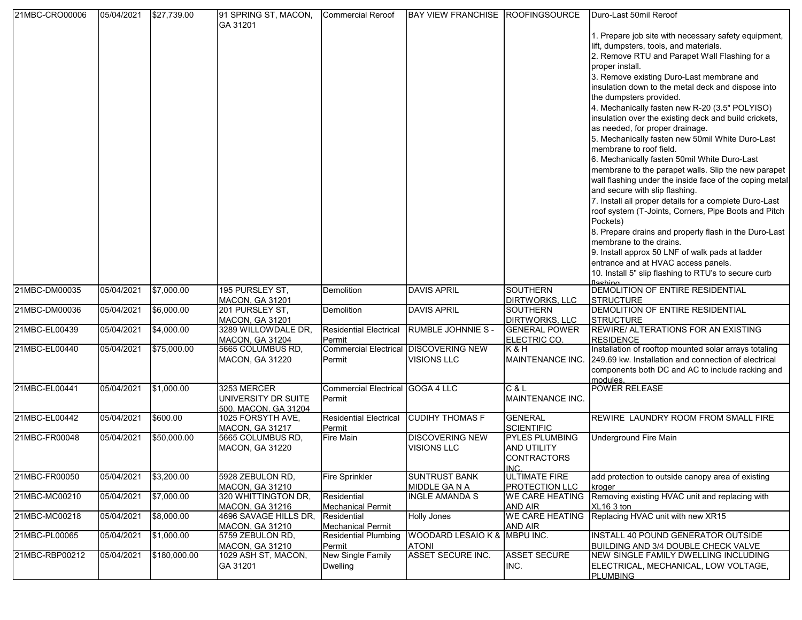| 21MBC-CRO00006 | 05/04/2021 | \$27,739.00  | 91 SPRING ST, MACON,                       | <b>Commercial Reroof</b>                                | BAY VIEW FRANCHISE ROOFINGSOURCE             |                        | Duro-Last 50mil Reroof                                                                 |
|----------------|------------|--------------|--------------------------------------------|---------------------------------------------------------|----------------------------------------------|------------------------|----------------------------------------------------------------------------------------|
|                |            |              | GA 31201                                   |                                                         |                                              |                        |                                                                                        |
|                |            |              |                                            |                                                         |                                              |                        | 1. Prepare job site with necessary safety equipment,                                   |
|                |            |              |                                            |                                                         |                                              |                        | lift, dumpsters, tools, and materials.                                                 |
|                |            |              |                                            |                                                         |                                              |                        | 2. Remove RTU and Parapet Wall Flashing for a                                          |
|                |            |              |                                            |                                                         |                                              |                        | proper install.                                                                        |
|                |            |              |                                            |                                                         |                                              |                        | 3. Remove existing Duro-Last membrane and                                              |
|                |            |              |                                            |                                                         |                                              |                        | insulation down to the metal deck and dispose into                                     |
|                |            |              |                                            |                                                         |                                              |                        | the dumpsters provided.                                                                |
|                |            |              |                                            |                                                         |                                              |                        | 4. Mechanically fasten new R-20 (3.5" POLYISO)                                         |
|                |            |              |                                            |                                                         |                                              |                        | insulation over the existing deck and build crickets,                                  |
|                |            |              |                                            |                                                         |                                              |                        | as needed, for proper drainage.                                                        |
|                |            |              |                                            |                                                         |                                              |                        | 5. Mechanically fasten new 50mil White Duro-Last                                       |
|                |            |              |                                            |                                                         |                                              |                        | membrane to roof field.                                                                |
|                |            |              |                                            |                                                         |                                              |                        | 6. Mechanically fasten 50mil White Duro-Last                                           |
|                |            |              |                                            |                                                         |                                              |                        |                                                                                        |
|                |            |              |                                            |                                                         |                                              |                        | membrane to the parapet walls. Slip the new parapet                                    |
|                |            |              |                                            |                                                         |                                              |                        | wall flashing under the inside face of the coping metal                                |
|                |            |              |                                            |                                                         |                                              |                        | and secure with slip flashing.                                                         |
|                |            |              |                                            |                                                         |                                              |                        | 7. Install all proper details for a complete Duro-Last                                 |
|                |            |              |                                            |                                                         |                                              |                        | roof system (T-Joints, Corners, Pipe Boots and Pitch                                   |
|                |            |              |                                            |                                                         |                                              |                        | Pockets)                                                                               |
|                |            |              |                                            |                                                         |                                              |                        | 8. Prepare drains and properly flash in the Duro-Last<br>membrane to the drains.       |
|                |            |              |                                            |                                                         |                                              |                        |                                                                                        |
|                |            |              |                                            |                                                         |                                              |                        | 9. Install approx 50 LNF of walk pads at ladder<br>entrance and at HVAC access panels. |
|                |            |              |                                            |                                                         |                                              |                        |                                                                                        |
|                |            |              |                                            |                                                         |                                              |                        | 10. Install 5" slip flashing to RTU's to secure curb<br>flashing                       |
| 21MBC-DM00035  | 05/04/2021 | \$7,000.00   | 195 PURSLEY ST,                            | Demolition                                              | <b>DAVIS APRIL</b>                           | <b>SOUTHERN</b>        | DEMOLITION OF ENTIRE RESIDENTIAL                                                       |
|                |            |              | <b>MACON, GA 31201</b>                     |                                                         |                                              | <b>DIRTWORKS, LLC</b>  | <b>STRUCTURE</b>                                                                       |
| 21MBC-DM00036  | 05/04/2021 | \$6,000.00   | 201 PURSLEY ST,                            | Demolition                                              | <b>DAVIS APRIL</b>                           | <b>SOUTHERN</b>        | DEMOLITION OF ENTIRE RESIDENTIAL                                                       |
|                |            |              | <b>MACON, GA 31201</b>                     |                                                         |                                              | DIRTWORKS, LLC         | <b>STRUCTURE</b>                                                                       |
| 21MBC-EL00439  | 05/04/2021 | \$4,000.00   | 3289 WILLOWDALE DR,                        | <b>Residential Electrical</b>                           | <b>RUMBLE JOHNNIE S -</b>                    | <b>GENERAL POWER</b>   | REWIRE/ ALTERATIONS FOR AN EXISTING                                                    |
|                |            |              | <b>MACON, GA 31204</b>                     | Permit                                                  |                                              | ELECTRIC CO.           | <b>RESIDENCE</b>                                                                       |
| 21MBC-EL00440  | 05/04/2021 | \$75,000.00  | 5665 COLUMBUS RD,                          |                                                         | <b>Commercial Electrical DISCOVERING NEW</b> | K&H                    | Installation of rooftop mounted solar arrays totaling                                  |
|                |            |              | <b>MACON, GA 31220</b>                     | Permit                                                  | <b>VISIONS LLC</b>                           | MAINTENANCE INC.       | 249.69 kw. Installation and connection of electrical                                   |
|                |            |              |                                            |                                                         |                                              |                        | components both DC and AC to include racking and<br>modules.                           |
| 21MBC-EL00441  | 05/04/2021 | \$1,000.00   | 3253 MERCER                                | Commercial Electrical GOGA 4 LLC                        |                                              | C & L                  | <b>POWER RELEASE</b>                                                                   |
|                |            |              | UNIVERSITY DR SUITE                        | Permit                                                  |                                              | MAINTENANCE INC.       |                                                                                        |
|                |            |              | 500. MACON. GA 31204                       |                                                         |                                              |                        |                                                                                        |
| 21MBC-EL00442  | 05/04/2021 | \$600.00     | 1025 FORSYTH AVE,                          | <b>Residential Electrical</b>                           | <b>CUDIHY THOMAS F</b>                       | <b>GENERAL</b>         | REWIRE LAUNDRY ROOM FROM SMALL FIRE                                                    |
|                |            |              | <b>MACON, GA 31217</b>                     | Permit                                                  |                                              | <b>SCIENTIFIC</b>      |                                                                                        |
| 21MBC-FR00048  | 05/04/2021 | \$50,000.00  | 5665 COLUMBUS RD,                          | Fire Main                                               | <b>DISCOVERING NEW</b>                       | <b>PYLES PLUMBING</b>  | Underground Fire Main                                                                  |
|                |            |              | <b>MACON, GA 31220</b>                     |                                                         | <b>VISIONS LLC</b>                           | <b>AND UTILITY</b>     |                                                                                        |
|                |            |              |                                            |                                                         |                                              | <b>CONTRACTORS</b>     |                                                                                        |
|                |            |              |                                            |                                                         |                                              | INC.                   |                                                                                        |
| 21MBC-FR00050  | 05/04/2021 | \$3,200.00   | 5928 ZEBULON RD,                           | <b>Fire Sprinkler</b>                                   | <b>SUNTRUST BANK</b>                         | <b>ULTIMATE FIRE</b>   | add protection to outside canopy area of existing                                      |
|                |            |              | <b>MACON, GA 31210</b>                     |                                                         | MIDDLE GA N A                                | <b>PROTECTION LLC</b>  | kroger                                                                                 |
| 21MBC-MC00210  | 05/04/2021 | \$7,000.00   | 320 WHITTINGTON DR,                        | Residential                                             | <b>INGLE AMANDA S</b>                        | <b>WE CARE HEATING</b> | Removing existing HVAC unit and replacing with                                         |
|                |            |              | <b>MACON, GA 31216</b>                     | <b>Mechanical Permit</b>                                |                                              | AND AIR                | XL16 3 ton                                                                             |
| 21MBC-MC00218  | 05/04/2021 | \$8,000.00   | 4696 SAVAGE HILLS DR,                      | Residential                                             | <b>Holly Jones</b>                           | <b>WE CARE HEATING</b> | Replacing HVAC unit with new XR15                                                      |
| 21MBC-PL00065  | 05/04/2021 | \$1,000.00   | <b>MACON, GA 31210</b><br>5759 ZEBULON RD, | <b>Mechanical Permit</b><br><b>Residential Plumbing</b> | WOODARD LESAIO K & MBPU INC.                 | AND AIR                | INSTALL 40 POUND GENERATOR OUTSIDE                                                     |
|                |            |              | <b>MACON, GA 31210</b>                     | Permit                                                  | <b>ATONI</b>                                 |                        | BUILDING AND 3/4 DOUBLE CHECK VALVE                                                    |
| 21MBC-RBP00212 | 05/04/2021 | \$180,000.00 | 1029 ASH ST, MACON,                        | <b>New Single Family</b>                                | <b>ASSET SECURE INC.</b>                     | <b>ASSET SECURE</b>    | NEW SINGLE FAMILY DWELLING INCLUDING                                                   |
|                |            |              | GA 31201                                   | <b>Dwelling</b>                                         |                                              | INC.                   | ELECTRICAL, MECHANICAL, LOW VOLTAGE,                                                   |
|                |            |              |                                            |                                                         |                                              |                        | <b>PLUMBING</b>                                                                        |
|                |            |              |                                            |                                                         |                                              |                        |                                                                                        |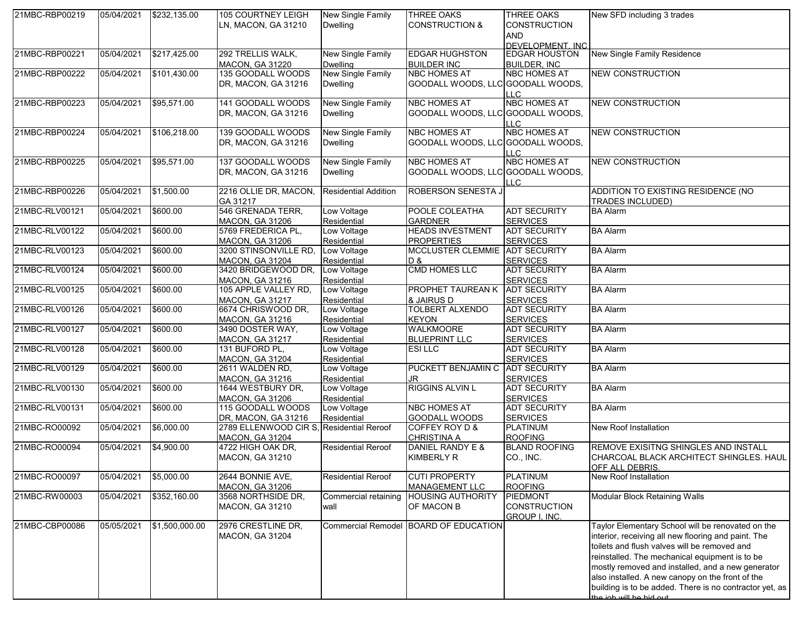| 21MBC-RBP00219 | 05/04/2021 | \$232,135.00   | 105 COURTNEY LEIGH                       | New Single Family           | <b>THREE OAKS</b>                      | <b>THREE OAKS</b>    | New SFD including 3 trades                              |
|----------------|------------|----------------|------------------------------------------|-----------------------------|----------------------------------------|----------------------|---------------------------------------------------------|
|                |            |                | LN, MACON, GA 31210                      | <b>Dwelling</b>             | <b>CONSTRUCTION &amp;</b>              | <b>CONSTRUCTION</b>  |                                                         |
|                |            |                |                                          |                             |                                        | <b>AND</b>           |                                                         |
|                |            |                |                                          |                             |                                        | DEVELOPMENT. INC     |                                                         |
| 21MBC-RBP00221 | 05/04/2021 | \$217,425.00   | 292 TRELLIS WALK,                        | <b>New Single Family</b>    | <b>EDGAR HUGHSTON</b>                  | <b>EDGAR HOUSTON</b> | New Single Family Residence                             |
|                |            |                | <b>MACON, GA 31220</b>                   | <b>Dwelling</b>             | <b>BUILDER INC</b>                     | <b>BUILDER, INC.</b> |                                                         |
| 21MBC-RBP00222 | 05/04/2021 | \$101,430.00   | 135 GOODALL WOODS                        | New Single Family           | <b>NBC HOMES AT</b>                    | <b>NBC HOMES AT</b>  | <b>NEW CONSTRUCTION</b>                                 |
|                |            |                | DR, MACON, GA 31216                      | <b>Dwelling</b>             | GOODALL WOODS, LLC GOODALL WOODS,      |                      |                                                         |
|                |            |                |                                          |                             |                                        | LLC                  |                                                         |
| 21MBC-RBP00223 | 05/04/2021 | \$95,571.00    | 141 GOODALL WOODS                        | <b>New Single Family</b>    | <b>NBC HOMES AT</b>                    | <b>NBC HOMES AT</b>  | <b>NEW CONSTRUCTION</b>                                 |
|                |            |                | DR, MACON, GA 31216                      | <b>Dwelling</b>             | GOODALL WOODS, LLC GOODALL WOODS,      |                      |                                                         |
|                |            |                |                                          |                             |                                        | LLC.                 |                                                         |
| 21MBC-RBP00224 | 05/04/2021 | \$106,218.00   | 139 GOODALL WOODS                        | New Single Family           | <b>NBC HOMES AT</b>                    | <b>NBC HOMES AT</b>  | <b>NEW CONSTRUCTION</b>                                 |
|                |            |                | DR, MACON, GA 31216                      | <b>Dwelling</b>             | GOODALL WOODS, LLC GOODALL WOODS,      |                      |                                                         |
|                |            |                |                                          |                             |                                        | LLC.                 |                                                         |
| 21MBC-RBP00225 | 05/04/2021 | \$95,571.00    | 137 GOODALL WOODS                        | <b>New Single Family</b>    | <b>NBC HOMES AT</b>                    | <b>NBC HOMES AT</b>  | <b>NEW CONSTRUCTION</b>                                 |
|                |            |                |                                          |                             |                                        |                      |                                                         |
|                |            |                | DR, MACON, GA 31216                      | <b>Dwelling</b>             | GOODALL WOODS, LLC GOODALL WOODS,      |                      |                                                         |
|                |            |                |                                          |                             | <b>ROBERSON SENESTA J</b>              | LLC.                 | ADDITION TO EXISTING RESIDENCE (NO                      |
| 21MBC-RBP00226 | 05/04/2021 | \$1,500.00     | 2216 OLLIE DR, MACON,                    | <b>Residential Addition</b> |                                        |                      |                                                         |
|                |            |                | GA 31217                                 |                             |                                        |                      | <b>TRADES INCLUDED)</b>                                 |
| 21MBC-RLV00121 | 05/04/2021 | \$600.00       | 546 GRENADA TERR,                        | Low Voltage                 | POOLE COLEATHA                         | <b>ADT SECURITY</b>  | <b>BA Alarm</b>                                         |
|                |            |                | MACON, GA 31206                          | Residential                 | <b>GARDNER</b>                         | <b>SERVICES</b>      |                                                         |
| 21MBC-RLV00122 | 05/04/2021 | \$600.00       | 5769 FREDERICA PL,                       | Low Voltage                 | <b>HEADS INVESTMENT</b>                | <b>ADT SECURITY</b>  | <b>BA Alarm</b>                                         |
|                |            |                | <b>MACON, GA 31206</b>                   | Residential                 | <b>PROPERTIES</b>                      | <b>SERVICES</b>      |                                                         |
| 21MBC-RLV00123 | 05/04/2021 | \$600.00       | 3200 STINSONVILLE RD,                    | Low Voltage                 | MCCLUSTER CLEMMIE ADT SECURITY         |                      | <b>BA Alarm</b>                                         |
|                |            |                | <b>MACON, GA 31204</b>                   | Residential                 | D&                                     | <b>SERVICES</b>      |                                                         |
| 21MBC-RLV00124 | 05/04/2021 | \$600.00       | 3420 BRIDGEWOOD DR.                      | Low Voltage                 | <b>CMD HOMES LLC</b>                   | <b>ADT SECURITY</b>  | <b>BA Alarm</b>                                         |
|                |            |                | <b>MACON, GA 31216</b>                   | Residential                 |                                        | <b>SERVICES</b>      |                                                         |
| 21MBC-RLV00125 | 05/04/2021 | \$600.00       | 105 APPLE VALLEY RD,                     | Low Voltage                 | PROPHET TAUREAN K ADT SECURITY         |                      | <b>BA Alarm</b>                                         |
|                |            |                | <b>MACON, GA 31217</b>                   | Residential                 | & JAIRUS D                             | <b>SERVICES</b>      |                                                         |
| 21MBC-RLV00126 | 05/04/2021 | \$600.00       | 6674 CHRISWOOD DR,                       | Low Voltage                 | <b>TOLBERT ALXENDO</b>                 | <b>ADT SECURITY</b>  | <b>BA Alarm</b>                                         |
|                |            |                | MACON, GA 31216                          | Residential                 | <b>KEYON</b>                           | <b>SERVICES</b>      |                                                         |
| 21MBC-RLV00127 | 05/04/2021 | \$600.00       | 3490 DOSTER WAY,                         | Low Voltage                 | <b>WALKMOORE</b>                       | <b>ADT SECURITY</b>  | <b>BA Alarm</b>                                         |
|                |            |                | <b>MACON, GA 31217</b>                   | Residential                 | <b>BLUEPRINT LLC</b>                   | <b>SERVICES</b>      |                                                         |
| 21MBC-RLV00128 | 05/04/2021 | \$600.00       | 131 BUFORD PL,                           | Low Voltage                 | <b>ESILLC</b>                          | <b>ADT SECURITY</b>  | <b>BA Alarm</b>                                         |
|                |            |                | <b>MACON, GA 31204</b>                   | Residential                 |                                        | <b>SERVICES</b>      |                                                         |
| 21MBC-RLV00129 | 05/04/2021 | \$600.00       | 2611 WALDEN RD,                          | Low Voltage                 | PUCKETT BENJAMIN C ADT SECURITY        |                      | <b>BA Alarm</b>                                         |
|                |            |                | <b>MACON, GA 31216</b>                   | Residential                 | JR.                                    | <b>SERVICES</b>      |                                                         |
| 21MBC-RLV00130 | 05/04/2021 | \$600.00       | 1644 WESTBURY DR,                        | Low Voltage                 | <b>RIGGINS ALVIN L</b>                 | <b>ADT SECURITY</b>  | <b>BA Alarm</b>                                         |
|                |            |                | <b>MACON, GA 31206</b>                   | Residential                 |                                        | <b>SERVICES</b>      |                                                         |
| 21MBC-RLV00131 | 05/04/2021 | \$600.00       | 115 GOODALL WOODS                        | Low Voltage                 | <b>NBC HOMES AT</b>                    | <b>ADT SECURITY</b>  | <b>BA Alarm</b>                                         |
|                |            |                | DR, MACON, GA 31216                      | Residential                 | GOODALL WOODS                          | <b>SERVICES</b>      |                                                         |
| 21MBC-RO00092  | 05/04/2021 | \$6,000.00     | 2789 ELLENWOOD CIR S, Residential Reroof |                             | COFFEY ROY D &                         | <b>PLATINUM</b>      | New Roof Installation                                   |
|                |            |                | <b>MACON, GA 31204</b>                   |                             | <b>CHRISTINA A</b>                     | <b>ROOFING</b>       |                                                         |
| 21MBC-RO00094  | 05/04/2021 | \$4,900.00     | 4722 HIGH OAK DR,                        | Residential Reroof          | DANIEL RANDY E &                       | <b>BLAND ROOFING</b> | <b>REMOVE EXISITNG SHINGLES AND INSTALL</b>             |
|                |            |                | <b>MACON, GA 31210</b>                   |                             | <b>KIMBERLY R</b>                      | CO., INC.            | CHARCOAL BLACK ARCHITECT SHINGLES. HAUL                 |
|                |            |                |                                          |                             |                                        |                      |                                                         |
| 21MBC-RO00097  | 05/04/2021 | \$5,000.00     | 2644 BONNIE AVE,                         | <b>Residential Reroof</b>   | <b>CUTI PROPERTY</b>                   | <b>PLATINUM</b>      | <b>OFF ALL DEBRIS</b><br>New Roof Installation          |
|                |            |                | <b>MACON, GA 31206</b>                   |                             | <b>MANAGEMENT LLC</b>                  | <b>ROOFING</b>       |                                                         |
| 21MBC-RW00003  | 05/04/2021 | \$352,160.00   | 3568 NORTHSIDE DR,                       |                             | Commercial retaining HOUSING AUTHORITY | <b>PIEDMONT</b>      | Modular Block Retaining Walls                           |
|                |            |                |                                          |                             |                                        | <b>CONSTRUCTION</b>  |                                                         |
|                |            |                | <b>MACON, GA 31210</b>                   | wall                        | OF MACON B                             |                      |                                                         |
|                |            |                |                                          |                             |                                        | <b>GROUP I. INC.</b> |                                                         |
| 21MBC-CBP00086 | 05/05/2021 | \$1,500,000.00 | 2976 CRESTLINE DR,                       |                             | Commercial Remodel BOARD OF EDUCATION  |                      | Taylor Elementary School will be renovated on the       |
|                |            |                | <b>MACON, GA 31204</b>                   |                             |                                        |                      | interior, receiving all new flooring and paint. The     |
|                |            |                |                                          |                             |                                        |                      | toilets and flush valves will be removed and            |
|                |            |                |                                          |                             |                                        |                      | reinstalled. The mechanical equipment is to be          |
|                |            |                |                                          |                             |                                        |                      | mostly removed and installed, and a new generator       |
|                |            |                |                                          |                             |                                        |                      | also installed. A new canopy on the front of the        |
|                |            |                |                                          |                             |                                        |                      | building is to be added. There is no contractor yet, as |
|                |            |                |                                          |                             |                                        |                      | the job will be bid out                                 |
|                |            |                |                                          |                             |                                        |                      |                                                         |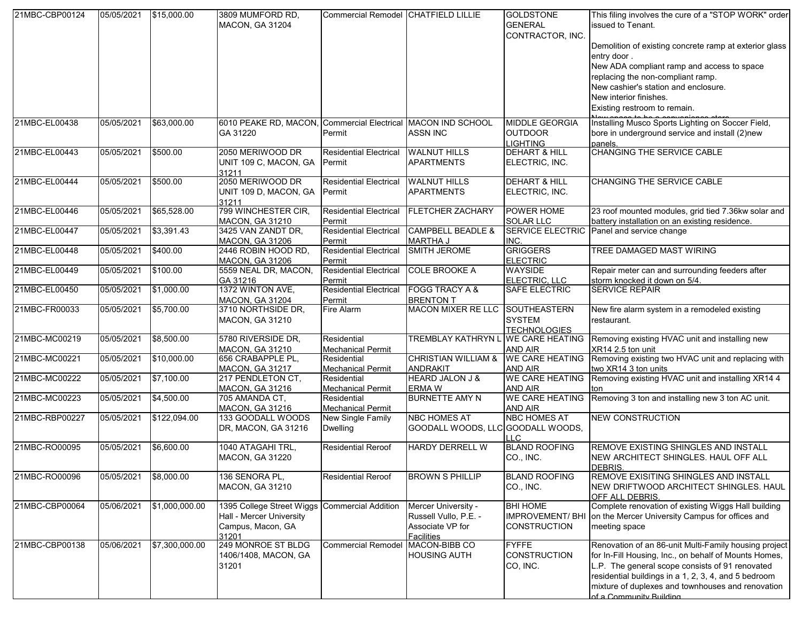| 21MBC-CBP00124 | 05/05/2021 | \$15,000.00    | 3809 MUMFORD RD,<br>MACON, GA 31204                                                 | Commercial Remodel CHATFIELD LILLIE     |                                                                                       | <b>GOLDSTONE</b><br><b>GENERAL</b><br>CONTRACTOR, INC.           | This filing involves the cure of a "STOP WORK" order<br>issued to Tenant.<br>Demolition of existing concrete ramp at exterior glass<br>entry door.<br>New ADA compliant ramp and access to space<br>replacing the non-compliant ramp.<br>New cashier's station and enclosure.<br>New interior finishes.<br>Existing restroom to remain. |
|----------------|------------|----------------|-------------------------------------------------------------------------------------|-----------------------------------------|---------------------------------------------------------------------------------------|------------------------------------------------------------------|-----------------------------------------------------------------------------------------------------------------------------------------------------------------------------------------------------------------------------------------------------------------------------------------------------------------------------------------|
| 21MBC-EL00438  | 05/05/2021 | \$63,000.00    | 6010 PEAKE RD, MACON, Commercial Electrical MACON IND SCHOOL<br>GA 31220            | Permit                                  | <b>ASSN INC</b>                                                                       | MIDDLE GEORGIA<br><b>OUTDOOR</b><br><b>LIGHTING</b>              | Installing Musco Sports Lighting on Soccer Field,<br>bore in underground service and install (2)new<br>panels.                                                                                                                                                                                                                          |
| 21MBC-EL00443  | 05/05/2021 | \$500.00       | 2050 MERIWOOD DR<br>UNIT 109 C, MACON, GA<br>31211                                  | <b>Residential Electrical</b><br>Permit | <b>WALNUT HILLS</b><br><b>APARTMENTS</b>                                              | <b>DEHART &amp; HILL</b><br>ELECTRIC, INC.                       | <b>CHANGING THE SERVICE CABLE</b>                                                                                                                                                                                                                                                                                                       |
| 21MBC-EL00444  | 05/05/2021 | \$500.00       | 2050 MERIWOOD DR<br>UNIT 109 D, MACON, GA<br>31211                                  | <b>Residential Electrical</b><br>Permit | <b>WALNUT HILLS</b><br><b>APARTMENTS</b>                                              | <b>DEHART &amp; HILL</b><br>ELECTRIC, INC.                       | <b>CHANGING THE SERVICE CABLE</b>                                                                                                                                                                                                                                                                                                       |
| 21MBC-EL00446  | 05/05/2021 | \$65,528.00    | 799 WINCHESTER CIR,<br><b>MACON, GA 31210</b>                                       | <b>Residential Electrical</b><br>Permit | <b>FLETCHER ZACHARY</b>                                                               | POWER HOME<br><b>SOLAR LLC</b>                                   | 23 roof mounted modules, grid tied 7.36kw solar and<br>battery installation on an existing residence.                                                                                                                                                                                                                                   |
| 21MBC-EL00447  | 05/05/2021 | \$3,391.43     | 3425 VAN ZANDT DR.<br><b>MACON, GA 31206</b>                                        | <b>Residential Electrical</b><br>Permit | CAMPBELL BEADLE &<br><b>MARTHA J</b>                                                  | <b>SERVICE ELECTRIC</b><br>INC.                                  | Panel and service change                                                                                                                                                                                                                                                                                                                |
| 21MBC-EL00448  | 05/05/2021 | \$400.00       | 2446 ROBIN HOOD RD,<br><b>MACON, GA 31206</b>                                       | <b>Residential Electrical</b><br>Permit | SMITH JEROME                                                                          | <b>GRIGGERS</b><br><b>ELECTRIC</b>                               | TREE DAMAGED MAST WIRING                                                                                                                                                                                                                                                                                                                |
| 21MBC-EL00449  | 05/05/2021 | \$100.00       | 5559 NEAL DR, MACON,<br>GA 31216                                                    | Residential Electrical<br>Permit        | <b>COLE BROOKE A</b>                                                                  | <b>WAYSIDE</b><br>ELECTRIC, LLC                                  | Repair meter can and surrounding feeders after<br>storm knocked it down on 5/4.                                                                                                                                                                                                                                                         |
| 21MBC-EL00450  | 05/05/2021 | \$1,000.00     | 1372 WINTON AVE,<br><b>MACON, GA 31204</b>                                          | <b>Residential Electrical</b><br>Permit | <b>FOGG TRACY A &amp;</b><br><b>BRENTON T</b>                                         | <b>SAFE ELECTRIC</b>                                             | <b>SERVICE REPAIR</b>                                                                                                                                                                                                                                                                                                                   |
| 21MBC-FR00033  | 05/05/2021 | \$5,700.00     | 3710 NORTHSIDE DR,<br>MACON, GA 31210                                               | Fire Alarm                              | <b>MACON MIXER RE LLC</b>                                                             | SOUTHEASTERN<br><b>SYSTEM</b><br><b>TECHNOLOGIES</b>             | New fire alarm system in a remodeled existing<br>restaurant.                                                                                                                                                                                                                                                                            |
| 21MBC-MC00219  | 05/05/2021 | \$8,500.00     | 5780 RIVERSIDE DR,<br><b>MACON, GA 31210</b>                                        | Residential<br><b>Mechanical Permit</b> | <b>TREMBLAY KATHRYN L</b>                                                             | <b>WE CARE HEATING</b><br>AND AIR                                | Removing existing HVAC unit and installing new<br>XR14 2.5 ton unit                                                                                                                                                                                                                                                                     |
| 21MBC-MC00221  | 05/05/2021 | \$10,000.00    | 656 CRABAPPLE PL,<br>MACON, GA 31217                                                | Residential<br><b>Mechanical Permit</b> | <b>CHRISTIAN WILLIAM &amp;</b><br><b>ANDRAKIT</b>                                     | <b>WE CARE HEATING</b><br><b>AND AIR</b>                         | Removing existing two HVAC unit and replacing with<br>two XR14 3 ton units                                                                                                                                                                                                                                                              |
| 21MBC-MC00222  | 05/05/2021 | \$7,100.00     | 217 PENDLETON CT,<br><b>MACON, GA 31216</b>                                         | Residential<br><b>Mechanical Permit</b> | <b>HEARD JALON J &amp;</b><br><b>ERMA W</b>                                           | <b>WE CARE HEATING</b><br><b>AND AIR</b>                         | Removing existing HVAC unit and installing XR14 4<br>ton                                                                                                                                                                                                                                                                                |
| 21MBC-MC00223  | 05/05/2021 | \$4,500.00     | 705 AMANDA CT,<br>MACON, GA 31216                                                   | Residential<br><b>Mechanical Permit</b> | <b>BURNETTE AMY N</b>                                                                 | <b>WE CARE HEATING</b><br>AND AIR                                | Removing 3 ton and installing new 3 ton AC unit.                                                                                                                                                                                                                                                                                        |
| 21MBC-RBP00227 | 05/05/2021 | \$122,094.00   | 133 GOODALL WOODS<br>DR, MACON, GA 31216                                            | New Single Family<br><b>Dwelling</b>    | <b>NBC HOMES AT</b><br>GOODALL WOODS, LLC GOODALL WOODS,                              | <b>NBC HOMES AT</b><br>H.C.                                      | <b>NEW CONSTRUCTION</b>                                                                                                                                                                                                                                                                                                                 |
| 21MBC-RO00095  | 05/05/2021 | \$6,600.00     | 1040 ATAGAHI TRL,<br><b>MACON, GA 31220</b>                                         | <b>Residential Reroof</b>               | <b>HARDY DERRELL W</b>                                                                | <b>BLAND ROOFING</b><br>CO., INC.                                | REMOVE EXISTING SHINGLES AND INSTALL<br>NEW ARCHITECT SHINGLES. HAUL OFF ALL<br><b>DEBRIS</b>                                                                                                                                                                                                                                           |
| 21MBC-RO00096  | 05/05/2021 | \$8,000.00     | 136 SENORA PL,<br><b>MACON, GA 31210</b>                                            | <b>Residential Reroof</b>               | <b>BROWN S PHILLIP</b>                                                                | <b>BLAND ROOFING</b><br>CO., INC.                                | REMOVE EXISITING SHINGLES AND INSTALL<br>NEW DRIFTWOOD ARCHITECT SHINGLES. HAUL<br>OFF ALL DEBRIS.                                                                                                                                                                                                                                      |
| 21MBC-CBP00064 | 05/06/2021 | \$1,000,000.00 | 1395 College Street Wiggs<br>Hall - Mercer University<br>Campus, Macon, GA<br>31201 | <b>Commercial Addition</b>              | Mercer University -<br>Russell Vullo, P.E. -<br>Associate VP for<br><b>Facilities</b> | <b>BHI HOME</b><br><b>IMPROVEMENT/BHI</b><br><b>CONSTRUCTION</b> | Complete renovation of existing Wiggs Hall building<br>on the Mercer University Campus for offices and<br>meeting space                                                                                                                                                                                                                 |
| 21MBC-CBP00138 | 05/06/2021 | \$7,300,000.00 | 249 MONROE ST BLDG<br>1406/1408, MACON, GA<br>31201                                 | <b>Commercial Remodel</b>               | MACON-BIBB CO<br><b>HOUSING AUTH</b>                                                  | <b>FYFFE</b><br><b>CONSTRUCTION</b><br>CO, INC.                  | Renovation of an 86-unit Multi-Family housing project<br>for In-Fill Housing, Inc., on behalf of Mounts Homes,<br>L.P. The general scope consists of 91 renovated<br>residential buildings in a 1, 2, 3, 4, and 5 bedroom<br>mixture of duplexes and townhouses and renovation<br>of a Community Ruilding                               |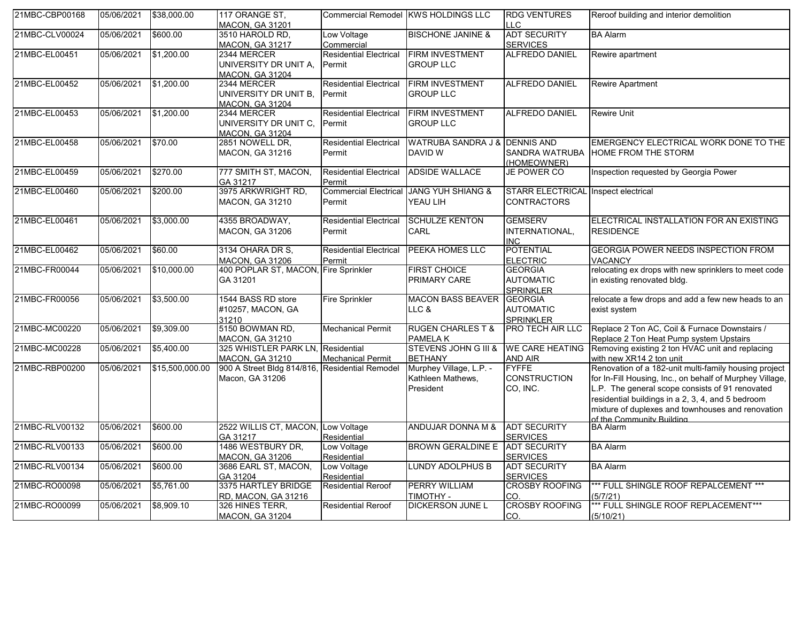| 21MBC-CBP00168 | 05/06/2021 | \$38,000.00     | 117 ORANGE ST.<br>MACON, GA 31201                                 |                                         | Commercial Remodel KWS HOLDINGS LLC                       | <b>RDG VENTURES</b><br>II C                            | Reroof building and interior demolition                                                                                                                                                                                                                                                                     |
|----------------|------------|-----------------|-------------------------------------------------------------------|-----------------------------------------|-----------------------------------------------------------|--------------------------------------------------------|-------------------------------------------------------------------------------------------------------------------------------------------------------------------------------------------------------------------------------------------------------------------------------------------------------------|
| 21MBC-CLV00024 | 05/06/2021 | \$600.00        | 3510 HAROLD RD,<br><b>MACON, GA 31217</b>                         | Low Voltage<br>Commercial               | <b>BISCHONE JANINE &amp;</b>                              | <b>ADT SECURITY</b><br><b>SERVICES</b>                 | <b>BA Alarm</b>                                                                                                                                                                                                                                                                                             |
| 21MBC-EL00451  | 05/06/2021 | \$1,200.00      | 2344 MERCER<br>UNIVERSITY DR UNIT A,<br><b>MACON, GA 31204</b>    | <b>Residential Electrical</b><br>Permit | <b>FIRM INVESTMENT</b><br><b>GROUP LLC</b>                | <b>ALFREDO DANIEL</b>                                  | Rewire apartment                                                                                                                                                                                                                                                                                            |
| 21MBC-EL00452  | 05/06/2021 | \$1,200.00      | 2344 MERCER<br>UNIVERSITY DR UNIT B.<br><b>MACON, GA 31204</b>    | <b>Residential Electrical</b><br>Permit | <b>FIRM INVESTMENT</b><br><b>GROUP LLC</b>                | <b>ALFREDO DANIEL</b>                                  | <b>Rewire Apartment</b>                                                                                                                                                                                                                                                                                     |
| 21MBC-EL00453  | 05/06/2021 | \$1,200.00      | 2344 MERCER<br>UNIVERSITY DR UNIT C,<br><b>MACON. GA 31204</b>    | <b>Residential Electrical</b><br>Permit | <b>FIRM INVESTMENT</b><br><b>GROUP LLC</b>                | <b>ALFREDO DANIEL</b>                                  | <b>Rewire Unit</b>                                                                                                                                                                                                                                                                                          |
| 21MBC-EL00458  | 05/06/2021 | \$70.00         | 2851 NOWELL DR,<br>MACON, GA 31216                                | <b>Residential Electrical</b><br>Permit | WATRUBA SANDRA J & DENNIS AND<br>DAVID W                  | SANDRA WATRUBA<br>(HOMEOWNER)                          | EMERGENCY ELECTRICAL WORK DONE TO THE<br><b>HOME FROM THE STORM</b>                                                                                                                                                                                                                                         |
| 21MBC-EL00459  | 05/06/2021 | \$270.00        | 777 SMITH ST, MACON,<br>GA 31217                                  | <b>Residential Electrical</b><br>Permit | <b>ADSIDE WALLACE</b>                                     | JE POWER CO                                            | Inspection requested by Georgia Power                                                                                                                                                                                                                                                                       |
| 21MBC-EL00460  | 05/06/2021 | \$200.00        | 3975 ARKWRIGHT RD,<br><b>MACON, GA 31210</b>                      | <b>Commercial Electrical</b><br>Permit  | <b>JANG YUH SHIANG &amp;</b><br>YEAU LIH                  | <b>STARR ELECTRICAL</b><br><b>CONTRACTORS</b>          | Inspect electrical                                                                                                                                                                                                                                                                                          |
| 21MBC-EL00461  | 05/06/2021 | \$3,000.00      | 4355 BROADWAY,<br>MACON, GA 31206                                 | <b>Residential Electrical</b><br>Permit | <b>SCHULZE KENTON</b><br>CARL                             | <b>GEMSERV</b><br>INTERNATIONAL,<br><b>INC</b>         | ELECTRICAL INSTALLATION FOR AN EXISTING<br><b>RESIDENCE</b>                                                                                                                                                                                                                                                 |
| 21MBC-EL00462  | 05/06/2021 | \$60.00         | 3134 OHARA DR S,<br><b>MACON, GA 31206</b>                        | <b>Residential Electrical</b><br>Permit | PEEKA HOMES LLC                                           | <b>POTENTIAL</b><br><b>ELECTRIC</b>                    | <b>GEORGIA POWER NEEDS INSPECTION FROM</b><br><b>VACANCY</b>                                                                                                                                                                                                                                                |
| 21MBC-FR00044  | 05/06/2021 | \$10,000.00     | 400 POPLAR ST, MACON, Fire Sprinkler<br>GA 31201                  |                                         | <b>FIRST CHOICE</b><br>PRIMARY CARE                       | <b>GEORGIA</b><br><b>AUTOMATIC</b><br><b>SPRINKLER</b> | relocating ex drops with new sprinklers to meet code<br>in existing renovated bldg.                                                                                                                                                                                                                         |
| 21MBC-FR00056  | 05/06/2021 | \$3,500.00      | 1544 BASS RD store<br>#10257, MACON, GA<br>31210                  | <b>Fire Sprinkler</b>                   | <b>MACON BASS BEAVER</b><br>LLC &                         | <b>GEORGIA</b><br><b>AUTOMATIC</b><br><b>SPRINKLER</b> | relocate a few drops and add a few new heads to an<br>exist system                                                                                                                                                                                                                                          |
| 21MBC-MC00220  | 05/06/2021 | \$9,309.00      | 5150 BOWMAN RD,<br><b>MACON, GA 31210</b>                         | <b>Mechanical Permit</b>                | <b>RUGEN CHARLES T &amp;</b><br><b>PAMELAK</b>            | <b>PRO TECH AIR LLC</b>                                | Replace 2 Ton AC, Coil & Furnace Downstairs /<br>Replace 2 Ton Heat Pump system Upstairs                                                                                                                                                                                                                    |
| 21MBC-MC00228  | 05/06/2021 | \$5,400.00      | 325 WHISTLER PARK LN, Residential<br><b>MACON, GA 31210</b>       | <b>Mechanical Permit</b>                | <b>STEVENS JOHN G III &amp;</b><br><b>BETHANY</b>         | <b>WE CARE HEATING</b><br>AND AIR                      | Removing existing 2 ton HVAC unit and replacing<br>with new XR14 2 ton unit                                                                                                                                                                                                                                 |
| 21MBC-RBP00200 | 05/06/2021 | \$15,500,000.00 | 900 A Street Bldg 814/816, Residential Remodel<br>Macon, GA 31206 |                                         | Murphey Village, L.P. -<br>Kathleen Mathews,<br>President | <b>FYFFE</b><br><b>CONSTRUCTION</b><br>CO, INC.        | Renovation of a 182-unit multi-family housing project<br>for In-Fill Housing, Inc., on behalf of Murphey Village,<br>L.P. The general scope consists of 91 renovated<br>residential buildings in a 2, 3, 4, and 5 bedroom<br>mixture of duplexes and townhouses and renovation<br>of the Community Ruilding |
| 21MBC-RLV00132 | 05/06/2021 | \$600.00        | 2522 WILLIS CT, MACON, Low Voltage<br>GA 31217                    | Residential                             | ANDUJAR DONNA M &                                         | <b>ADT SECURITY</b><br><b>SERVICES</b>                 | <b>BA Alarm</b>                                                                                                                                                                                                                                                                                             |
| 21MBC-RLV00133 | 05/06/2021 | \$600.00        | 1486 WESTBURY DR,<br>MACON, GA 31206                              | Low Voltage<br>Residential              | BROWN GERALDINE E ADT SECURITY                            | <b>SERVICES</b>                                        | <b>BA Alarm</b>                                                                                                                                                                                                                                                                                             |
| 21MBC-RLV00134 | 05/06/2021 | \$600.00        | 3686 EARL ST, MACON,<br>GA 31204                                  | Low Voltage<br>Residential              | LUNDY ADOLPHUS B                                          | <b>ADT SECURITY</b><br><b>SERVICES</b>                 | <b>BA Alarm</b>                                                                                                                                                                                                                                                                                             |
| 21MBC-RO00098  | 05/06/2021 | \$5,761.00      | 3375 HARTLEY BRIDGE<br>RD, MACON, GA 31216                        | <b>Residential Reroof</b>               | <b>PERRY WILLIAM</b><br>TIMOTHY -                         | <b>CROSBY ROOFING</b><br>CO.                           | *** FULL SHINGLE ROOF REPALCEMENT ***<br>(5/7/21)                                                                                                                                                                                                                                                           |
| 21MBC-RO00099  | 05/06/2021 | \$8,909.10      | 326 HINES TERR.<br><b>MACON, GA 31204</b>                         | <b>Residential Reroof</b>               | <b>DICKERSON JUNE L</b>                                   | <b>CROSBY ROOFING</b><br>CO.                           | *** FULL SHINGLE ROOF REPLACEMENT***<br>(5/10/21)                                                                                                                                                                                                                                                           |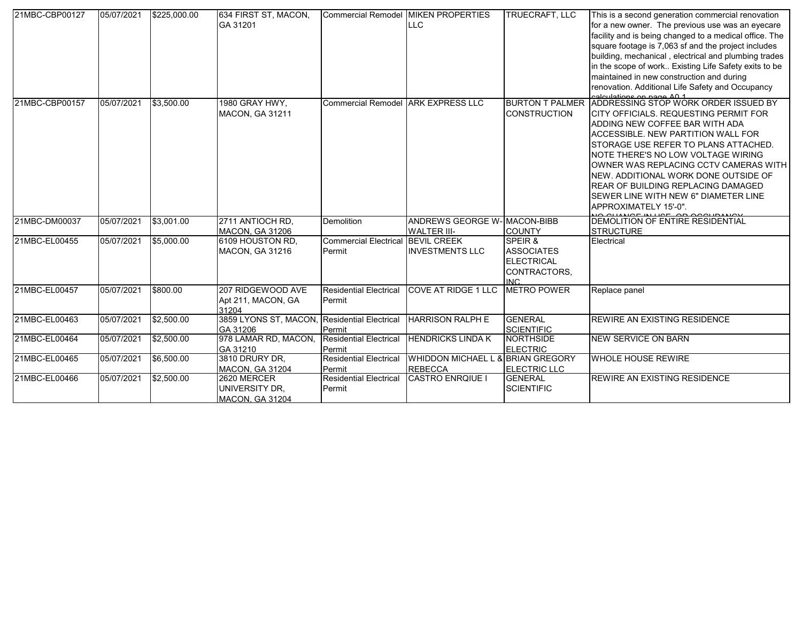| 21MBC-CBP00127 | 05/07/2021 | \$225,000.00 | 634 FIRST ST, MACON,<br>GA 31201                         |                                             | Commercial Remodel MIKEN PROPERTIES<br><b>LLC</b>   | TRUECRAFT, LLC                                                            | This is a second generation commercial renovation<br>for a new owner. The previous use was an eyecare<br>facility and is being changed to a medical office. The<br>square footage is 7,063 sf and the project includes<br>building, mechanical, electrical and plumbing trades<br>in the scope of work Existing Life Safety exits to be<br>maintained in new construction and during<br>renovation. Additional Life Safety and Occupancy                        |
|----------------|------------|--------------|----------------------------------------------------------|---------------------------------------------|-----------------------------------------------------|---------------------------------------------------------------------------|-----------------------------------------------------------------------------------------------------------------------------------------------------------------------------------------------------------------------------------------------------------------------------------------------------------------------------------------------------------------------------------------------------------------------------------------------------------------|
| 21MBC-CBP00157 | 05/07/2021 | \$3,500.00   | 1980 GRAY HWY,<br>MACON, GA 31211                        | Commercial Remodel ARK EXPRESS LLC          |                                                     | <b>BURTON T PALMER</b><br><b>CONSTRUCTION</b>                             | Andersations on norm 40.4<br>ADDRESSING STOP WORK ORDER ISSUED BY<br>CITY OFFICIALS. REQUESTING PERMIT FOR<br>ADDING NEW COFFEE BAR WITH ADA<br>ACCESSIBLE. NEW PARTITION WALL FOR<br>STORAGE USE REFER TO PLANS ATTACHED.<br>NOTE THERE'S NO LOW VOLTAGE WIRING<br>OWNER WAS REPLACING CCTV CAMERAS WITH<br>NEW, ADDITIONAL WORK DONE OUTSIDE OF<br><b>REAR OF BUILDING REPLACING DAMAGED</b><br>SEWER LINE WITH NEW 6" DIAMETER LINE<br>APPROXIMATELY 15'-0". |
| 21MBC-DM00037  | 05/07/2021 | \$3,001.00   | 2711 ANTIOCH RD.<br><b>MACON, GA 31206</b>               | <b>Demolition</b>                           | ANDREWS GEORGE W- MACON-BIBB<br><b>WALTER III-</b>  | <b>COUNTY</b>                                                             | DEMOLITION OF ENTIRE RESIDENTIAL<br><b>STRUCTURE</b>                                                                                                                                                                                                                                                                                                                                                                                                            |
| 21MBC-EL00455  | 05/07/2021 | \$5,000.00   | 6109 HOUSTON RD,<br><b>MACON, GA 31216</b>               | Commercial Electrical BEVIL CREEK<br>Permit | <b>INVESTMENTS LLC</b>                              | SPEIR &<br><b>ASSOCIATES</b><br><b>ELECTRICAL</b><br>CONTRACTORS.<br>INC. | Electrical                                                                                                                                                                                                                                                                                                                                                                                                                                                      |
| 21MBC-EL00457  | 05/07/2021 | \$800.00     | 207 RIDGEWOOD AVE<br>Apt 211, MACON, GA<br>31204         | <b>Residential Electrical</b><br>Permit     | <b>COVE AT RIDGE 1 LLC</b>                          | <b>METRO POWER</b>                                                        | Replace panel                                                                                                                                                                                                                                                                                                                                                                                                                                                   |
| 21MBC-EL00463  | 05/07/2021 | \$2,500.00   | 3859 LYONS ST, MACON, Residential Electrical<br>GA 31206 | Permit                                      | <b>HARRISON RALPH E</b>                             | <b>GENERAL</b><br><b>SCIENTIFIC</b>                                       | <b>REWIRE AN EXISTING RESIDENCE</b>                                                                                                                                                                                                                                                                                                                                                                                                                             |
| 21MBC-EL00464  | 05/07/2021 | \$2,500.00   | 978 LAMAR RD, MACON,<br>GA 31210                         | <b>Residential Electrical</b><br>Permit     | <b>HENDRICKS LINDA K</b>                            | <b>NORTHSIDE</b><br><b>ELECTRIC</b>                                       | <b>NEW SERVICE ON BARN</b>                                                                                                                                                                                                                                                                                                                                                                                                                                      |
| 21MBC-EL00465  | 05/07/2021 | \$6,500.00   | 3810 DRURY DR.<br>MACON, GA 31204                        | <b>Residential Electrical</b><br>Permit     | WHIDDON MICHAEL L & BRIAN GREGORY<br><b>REBECCA</b> | <b>ELECTRIC LLC</b>                                                       | <b>WHOLE HOUSE REWIRE</b>                                                                                                                                                                                                                                                                                                                                                                                                                                       |
| 21MBC-EL00466  | 05/07/2021 | \$2,500.00   | 2620 MERCER<br>UNIVERSITY DR.<br>MACON, GA 31204         | <b>Residential Electrical</b><br>Permit     | <b>CASTRO ENROIUE I</b>                             | <b>GENERAL</b><br><b>SCIENTIFIC</b>                                       | <b>REWIRE AN EXISTING RESIDENCE</b>                                                                                                                                                                                                                                                                                                                                                                                                                             |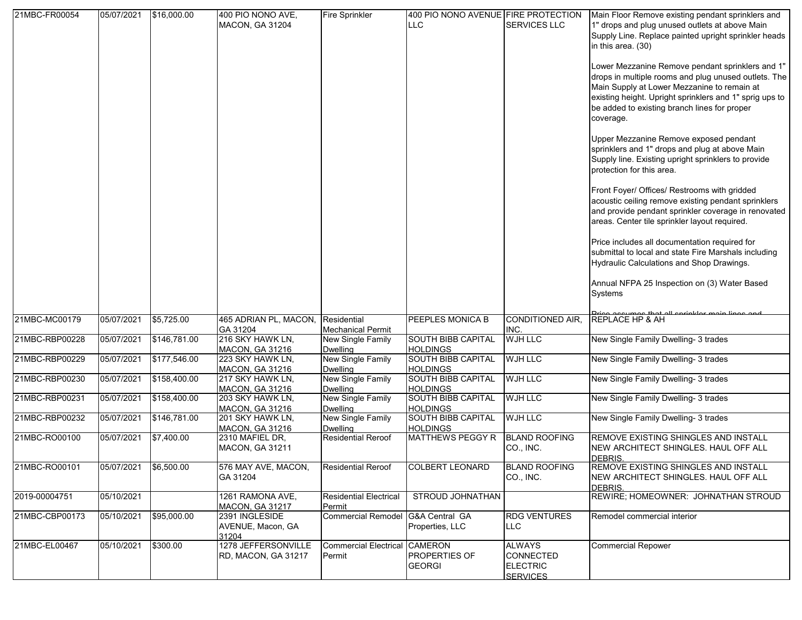| 21MBC-FR00054  | 05/07/2021            | \$16,000.00  | 400 PIO NONO AVE,<br><b>MACON, GA 31204</b>  | Fire Sprinkler                                 | 400 PIO NONO AVENUE FIRE PROTECTION<br><b>LLC</b> | <b>SERVICES LLC</b>                                                     | Main Floor Remove existing pendant sprinklers and<br>1" drops and plug unused outlets at above Main<br>Supply Line. Replace painted upright sprinkler heads<br>in this area. (30)<br>Lower Mezzanine Remove pendant sprinklers and 1"<br>drops in multiple rooms and plug unused outlets. The<br>Main Supply at Lower Mezzanine to remain at<br>existing height. Upright sprinklers and 1" sprig ups to<br>be added to existing branch lines for proper<br>coverage.<br>Upper Mezzanine Remove exposed pendant<br>sprinklers and 1" drops and plug at above Main<br>Supply line. Existing upright sprinklers to provide<br>protection for this area.<br>Front Foyer/ Offices/ Restrooms with gridded<br>acoustic ceiling remove existing pendant sprinklers<br>and provide pendant sprinkler coverage in renovated<br>areas. Center tile sprinkler layout required.<br>Price includes all documentation required for<br>submittal to local and state Fire Marshals including<br>Hydraulic Calculations and Shop Drawings.<br>Annual NFPA 25 Inspection on (3) Water Based |
|----------------|-----------------------|--------------|----------------------------------------------|------------------------------------------------|---------------------------------------------------|-------------------------------------------------------------------------|---------------------------------------------------------------------------------------------------------------------------------------------------------------------------------------------------------------------------------------------------------------------------------------------------------------------------------------------------------------------------------------------------------------------------------------------------------------------------------------------------------------------------------------------------------------------------------------------------------------------------------------------------------------------------------------------------------------------------------------------------------------------------------------------------------------------------------------------------------------------------------------------------------------------------------------------------------------------------------------------------------------------------------------------------------------------------|
|                |                       |              |                                              |                                                |                                                   |                                                                         | Systems                                                                                                                                                                                                                                                                                                                                                                                                                                                                                                                                                                                                                                                                                                                                                                                                                                                                                                                                                                                                                                                                   |
| 21MBC-MC00179  | 05/07/2021            | \$5,725.00   | 465 ADRIAN PL, MACON,<br>GA 31204            | Residential<br><b>Mechanical Permit</b>        | PEEPLES MONICA B                                  | CONDITIONED AIR,<br>INC.                                                | <b>REPLACE HP &amp; AH</b>                                                                                                                                                                                                                                                                                                                                                                                                                                                                                                                                                                                                                                                                                                                                                                                                                                                                                                                                                                                                                                                |
| 21MBC-RBP00228 | 05/07/2021            | \$146,781.00 | 216 SKY HAWK LN,<br><b>MACON, GA 31216</b>   | <b>New Single Family</b><br><b>Dwelling</b>    | <b>SOUTH BIBB CAPITAL</b><br><b>HOLDINGS</b>      | <b>WJH LLC</b>                                                          | New Single Family Dwelling- 3 trades                                                                                                                                                                                                                                                                                                                                                                                                                                                                                                                                                                                                                                                                                                                                                                                                                                                                                                                                                                                                                                      |
| 21MBC-RBP00229 | 05/07/2021            | \$177,546.00 | 223 SKY HAWK LN,<br><b>MACON, GA 31216</b>   | <b>New Single Family</b><br><b>Dwelling</b>    | <b>SOUTH BIBB CAPITAL</b><br><b>HOLDINGS</b>      | <b>WJH LLC</b>                                                          | New Single Family Dwelling- 3 trades                                                                                                                                                                                                                                                                                                                                                                                                                                                                                                                                                                                                                                                                                                                                                                                                                                                                                                                                                                                                                                      |
| 21MBC-RBP00230 | 05/07/2021            | \$158,400.00 | 217 SKY HAWK LN,<br><b>MACON, GA 31216</b>   | <b>New Single Family</b><br><b>Dwelling</b>    | <b>SOUTH BIBB CAPITAL</b><br><b>HOLDINGS</b>      | <b>WJH LLC</b>                                                          | New Single Family Dwelling- 3 trades                                                                                                                                                                                                                                                                                                                                                                                                                                                                                                                                                                                                                                                                                                                                                                                                                                                                                                                                                                                                                                      |
| 21MBC-RBP00231 | 05/07/2021            | \$158,400.00 | 203 SKY HAWK LN,<br><b>MACON, GA 31216</b>   | <b>New Single Family</b><br><b>Dwelling</b>    | <b>SOUTH BIBB CAPITAL</b><br><b>HOLDINGS</b>      | <b>WJH LLC</b>                                                          | New Single Family Dwelling- 3 trades                                                                                                                                                                                                                                                                                                                                                                                                                                                                                                                                                                                                                                                                                                                                                                                                                                                                                                                                                                                                                                      |
| 21MBC-RBP00232 | 05/07/2021            | \$146,781.00 | 201 SKY HAWK LN,<br><b>MACON, GA 31216</b>   | <b>New Single Family</b><br><b>Dwelling</b>    | <b>SOUTH BIBB CAPITAL</b><br><b>HOLDINGS</b>      | WJH LLC                                                                 | New Single Family Dwelling- 3 trades                                                                                                                                                                                                                                                                                                                                                                                                                                                                                                                                                                                                                                                                                                                                                                                                                                                                                                                                                                                                                                      |
| 21MBC-RO00100  | 05/07/2021            | \$7.400.00   | 2310 MAFIEL DR,<br>MACON, GA 31211           | <b>Residential Reroof</b>                      | MATTHEWS PEGGY R                                  | <b>BLAND ROOFING</b><br>CO., INC.                                       | REMOVE EXISTING SHINGLES AND INSTALL<br>NEW ARCHITECT SHINGLES. HAUL OFF ALL<br>DEBRIS.                                                                                                                                                                                                                                                                                                                                                                                                                                                                                                                                                                                                                                                                                                                                                                                                                                                                                                                                                                                   |
| 21MBC-RO00101  | 05/07/2021 \$6,500.00 |              | 576 MAY AVE, MACON,<br>GA 31204              | <b>Residential Reroof</b>                      | <b>COLBERT LEONARD</b>                            | <b>BLAND ROOFING</b><br>CO., INC.                                       | <b>REMOVE EXISTING SHINGLES AND INSTALL</b><br>NEW ARCHITECT SHINGLES. HAUL OFF ALL<br>DEBRIS.                                                                                                                                                                                                                                                                                                                                                                                                                                                                                                                                                                                                                                                                                                                                                                                                                                                                                                                                                                            |
| 2019-00004751  | 05/10/2021            |              | 1261 RAMONA AVE,<br><b>MACON, GA 31217</b>   | <b>Residential Electrical</b><br>Permit        | STROUD JOHNATHAN                                  |                                                                         | REWIRE; HOMEOWNER: JOHNATHAN STROUD                                                                                                                                                                                                                                                                                                                                                                                                                                                                                                                                                                                                                                                                                                                                                                                                                                                                                                                                                                                                                                       |
| 21MBC-CBP00173 | 05/10/2021            | \$95,000.00  | 2391 INGLESIDE<br>AVENUE, Macon, GA<br>31204 | Commercial Remodel G&A Central GA              | Properties, LLC                                   | <b>RDG VENTURES</b><br><b>LLC</b>                                       | Remodel commercial interior                                                                                                                                                                                                                                                                                                                                                                                                                                                                                                                                                                                                                                                                                                                                                                                                                                                                                                                                                                                                                                               |
| 21MBC-EL00467  | 05/10/2021            | \$300.00     | 1278 JEFFERSONVILLE<br>RD, MACON, GA 31217   | <b>Commercial Electrical CAMERON</b><br>Permit | PROPERTIES OF<br><b>GEORGI</b>                    | <b>ALWAYS</b><br><b>CONNECTED</b><br><b>ELECTRIC</b><br><b>SERVICES</b> | <b>Commercial Repower</b>                                                                                                                                                                                                                                                                                                                                                                                                                                                                                                                                                                                                                                                                                                                                                                                                                                                                                                                                                                                                                                                 |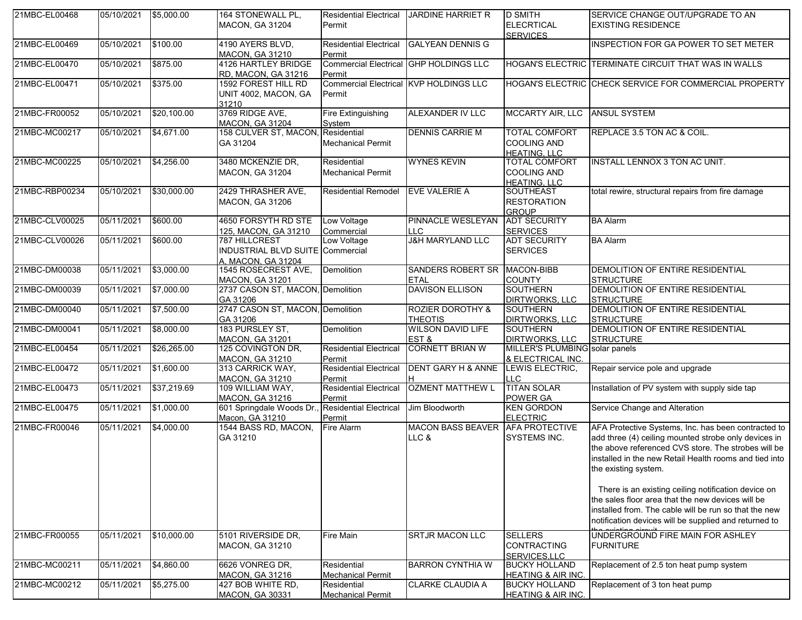| 21MBC-EL00468  | 05/10/2021 | \$5,000.00  | 164 STONEWALL PL,                                      | <b>Residential Electrical</b>           | <b>JARDINE HARRIET R</b>                      | <b>D SMITH</b>                                          | SERVICE CHANGE OUT/UPGRADE TO AN                                                                                                                                                                                                                     |
|----------------|------------|-------------|--------------------------------------------------------|-----------------------------------------|-----------------------------------------------|---------------------------------------------------------|------------------------------------------------------------------------------------------------------------------------------------------------------------------------------------------------------------------------------------------------------|
|                |            |             | <b>MACON, GA 31204</b>                                 | Permit                                  |                                               | <b>ELECRTICAL</b>                                       | <b>EXISTING RESIDENCE</b>                                                                                                                                                                                                                            |
| 21MBC-EL00469  | 05/10/2021 | \$100.00    | 4190 AYERS BLVD,                                       |                                         | Residential Electrical GALYEAN DENNIS G       | <b>SERVICES</b>                                         | INSPECTION FOR GA POWER TO SET METER                                                                                                                                                                                                                 |
|                |            |             | <b>MACON, GA 31210</b>                                 | Permit                                  |                                               |                                                         |                                                                                                                                                                                                                                                      |
| 21MBC-EL00470  | 05/10/2021 | \$875.00    | <b>4126 HARTLEY BRIDGE</b><br>RD, MACON, GA 31216      | Permit                                  | <b>Commercial Electrical GHP HOLDINGS LLC</b> |                                                         | HOGAN'S ELECTRIC TERMINATE CIRCUIT THAT WAS IN WALLS                                                                                                                                                                                                 |
| 21MBC-EL00471  | 05/10/2021 | \$375.00    | 1592 FOREST HILL RD                                    |                                         | Commercial Electrical KVP HOLDINGS LLC        |                                                         | HOGAN'S ELECTRIC CHECK SERVICE FOR COMMERCIAL PROPERTY                                                                                                                                                                                               |
|                |            |             | UNIT 4002, MACON, GA<br>31210                          | Permit                                  |                                               |                                                         |                                                                                                                                                                                                                                                      |
| 21MBC-FR00052  | 05/10/2021 | \$20,100.00 | 3769 RIDGE AVE,<br><b>MACON, GA 31204</b>              | Fire Extinguishing<br>System            | <b>ALEXANDER IV LLC</b>                       | MCCARTY AIR, LLC ANSUL SYSTEM                           |                                                                                                                                                                                                                                                      |
| 21MBC-MC00217  | 05/10/2021 | \$4,671.00  | 158 CULVER ST, MACON,                                  | Residential                             | <b>DENNIS CARRIE M</b>                        | <b>TOTAL COMFORT</b>                                    | REPLACE 3.5 TON AC & COIL.                                                                                                                                                                                                                           |
|                |            |             | GA 31204                                               | <b>Mechanical Permit</b>                |                                               | <b>COOLING AND</b><br><b>HEATING, LLC</b>               |                                                                                                                                                                                                                                                      |
| 21MBC-MC00225  | 05/10/2021 | \$4,256.00  | 3480 MCKENZIE DR,                                      | Residential                             | <b>WYNES KEVIN</b>                            | TOTAL COMFORT                                           | INSTALL LENNOX 3 TON AC UNIT.                                                                                                                                                                                                                        |
|                |            |             | <b>MACON, GA 31204</b>                                 | <b>Mechanical Permit</b>                |                                               | <b>COOLING AND</b><br><b>HEATING, LLC</b>               |                                                                                                                                                                                                                                                      |
| 21MBC-RBP00234 | 05/10/2021 | \$30,000.00 | 2429 THRASHER AVE,<br><b>MACON, GA 31206</b>           | <b>Residential Remodel</b>              | <b>EVE VALERIE A</b>                          | <b>SOUTHEAST</b><br><b>RESTORATION</b>                  | total rewire, structural repairs from fire damage                                                                                                                                                                                                    |
|                |            |             |                                                        |                                         |                                               | <b>GROUP</b>                                            |                                                                                                                                                                                                                                                      |
| 21MBC-CLV00025 | 05/11/2021 | \$600.00    | 4650 FORSYTH RD STE<br>125, MACON, GA 31210            | Low Voltage<br>Commercial               | PINNACLE WESLEYAN<br><b>LLC</b>               | <b>ADT SECURITY</b><br><b>SERVICES</b>                  | <b>BA Alarm</b>                                                                                                                                                                                                                                      |
| 21MBC-CLV00026 | 05/11/2021 | \$600.00    | 787 HILLCREST                                          | Low Voltage                             | <b>J&amp;H MARYLAND LLC</b>                   | <b>ADT SECURITY</b>                                     | <b>BA Alarm</b>                                                                                                                                                                                                                                      |
|                |            |             | INDUSTRIAL BLVD SUITE Commercial<br>A. MACON. GA 31204 |                                         |                                               | <b>SERVICES</b>                                         |                                                                                                                                                                                                                                                      |
| 21MBC-DM00038  | 05/11/2021 | \$3,000.00  | 1545 ROSECREST AVE,<br><b>MACON, GA 31201</b>          | Demolition                              | SANDERS ROBERT SR MACON-BIBB<br><b>ETAL</b>   | <b>COUNTY</b>                                           | DEMOLITION OF ENTIRE RESIDENTIAL<br><b>STRUCTURE</b>                                                                                                                                                                                                 |
| 21MBC-DM00039  | 05/11/2021 | \$7,000.00  | 2737 CASON ST, MACON, Demolition<br>GA 31206           |                                         | <b>DAVISON ELLISON</b>                        | <b>SOUTHERN</b><br><b>DIRTWORKS, LLC</b>                | DEMOLITION OF ENTIRE RESIDENTIAL<br><b>STRUCTURE</b>                                                                                                                                                                                                 |
| 21MBC-DM00040  | 05/11/2021 | \$7,500.00  | 2747 CASON ST, MACON, Demolition                       |                                         | <b>ROZIER DOROTHY &amp;</b>                   | <b>SOUTHERN</b>                                         | DEMOLITION OF ENTIRE RESIDENTIAL                                                                                                                                                                                                                     |
|                |            |             | GA 31206                                               |                                         | <b>THEOTIS</b>                                | <b>DIRTWORKS, LLC</b>                                   | <b>STRUCTURE</b>                                                                                                                                                                                                                                     |
| 21MBC-DM00041  | 05/11/2021 | \$8,000.00  | 183 PURSLEY ST,                                        | Demolition                              | <b>WILSON DAVID LIFE</b>                      | <b>SOUTHERN</b>                                         | DEMOLITION OF ENTIRE RESIDENTIAL                                                                                                                                                                                                                     |
| 21MBC-EL00454  | 05/11/2021 | \$26,265.00 | <b>MACON, GA 31201</b><br>125 COVINGTON DR,            | <b>Residential Electrical</b>           | EST&<br><b>CORNETT BRIAN W</b>                | <b>DIRTWORKS, LLC</b><br>MILLER'S PLUMBING solar panels | <b>STRUCTURE</b>                                                                                                                                                                                                                                     |
|                |            |             | <b>MACON, GA 31210</b>                                 | Permit                                  |                                               | & ELECTRICAL INC.                                       |                                                                                                                                                                                                                                                      |
| 21MBC-EL00472  | 05/11/2021 | \$1,600.00  | 313 CARRICK WAY,                                       | <b>Residential Electrical</b>           | <b>DENT GARY H &amp; ANNE</b>                 | LEWIS ELECTRIC,                                         | Repair service pole and upgrade                                                                                                                                                                                                                      |
|                |            |             | <b>MACON, GA 31210</b>                                 | Permit                                  |                                               | LLC                                                     |                                                                                                                                                                                                                                                      |
| 21MBC-EL00473  | 05/11/2021 | \$37,219.69 | 109 WILLIAM WAY,<br>MACON, GA 31216                    | <b>Residential Electrical</b><br>Permit | <b>OZMENT MATTHEW L</b>                       | <b>TITAN SOLAR</b><br>POWER GA                          | Installation of PV system with supply side tap                                                                                                                                                                                                       |
| 21MBC-EL00475  | 05/11/2021 | \$1,000.00  | 601 Springdale Woods Dr.                               | <b>Residential Electrical</b>           | Jim Bloodworth                                | <b>KEN GORDON</b>                                       | Service Change and Alteration                                                                                                                                                                                                                        |
|                |            |             | Macon, GA 31210                                        | Permit                                  |                                               | <b>ELECTRIC</b>                                         |                                                                                                                                                                                                                                                      |
| 21MBC-FR00046  | 05/11/2021 | \$4,000.00  | 1544 BASS RD, MACON,<br>GA 31210                       | Fire Alarm                              | MACON BASS BEAVER AFA PROTECTIVE<br>LLC &     | SYSTEMS INC.                                            | AFA Protective Systems, Inc. has been contracted to<br>add three (4) ceiling mounted strobe only devices in<br>the above referenced CVS store. The strobes will be<br>installed in the new Retail Health rooms and tied into<br>the existing system. |
|                |            |             |                                                        |                                         |                                               |                                                         | There is an existing ceiling notification device on<br>the sales floor area that the new devices will be<br>installed from. The cable will be run so that the new<br>notification devices will be supplied and returned to                           |
| 21MBC-FR00055  | 05/11/2021 | \$10,000.00 | 5101 RIVERSIDE DR,<br><b>MACON, GA 31210</b>           | <b>Fire Main</b>                        | <b>SRTJR MACON LLC</b>                        | <b>SELLERS</b><br><b>CONTRACTING</b><br>SERVICES.LLC    | UNDERGROUND FIRE MAIN FOR ASHLEY<br><b>FURNITURE</b>                                                                                                                                                                                                 |
| 21MBC-MC00211  | 05/11/2021 | \$4,860.00  | 6626 VONREG DR,<br>MACON, GA 31216                     | Residential<br><b>Mechanical Permit</b> | <b>BARRON CYNTHIA W</b>                       | <b>BUCKY HOLLAND</b><br><b>HEATING &amp; AIR INC.</b>   | Replacement of 2.5 ton heat pump system                                                                                                                                                                                                              |
| 21MBC-MC00212  | 05/11/2021 | \$5,275.00  | 427 BOB WHITE RD,                                      | Residential                             | <b>CLARKE CLAUDIA A</b>                       | <b>BUCKY HOLLAND</b>                                    | Replacement of 3 ton heat pump                                                                                                                                                                                                                       |
|                |            |             | <b>MACON, GA 30331</b>                                 | <b>Mechanical Permit</b>                |                                               | <b>HEATING &amp; AIR INC.</b>                           |                                                                                                                                                                                                                                                      |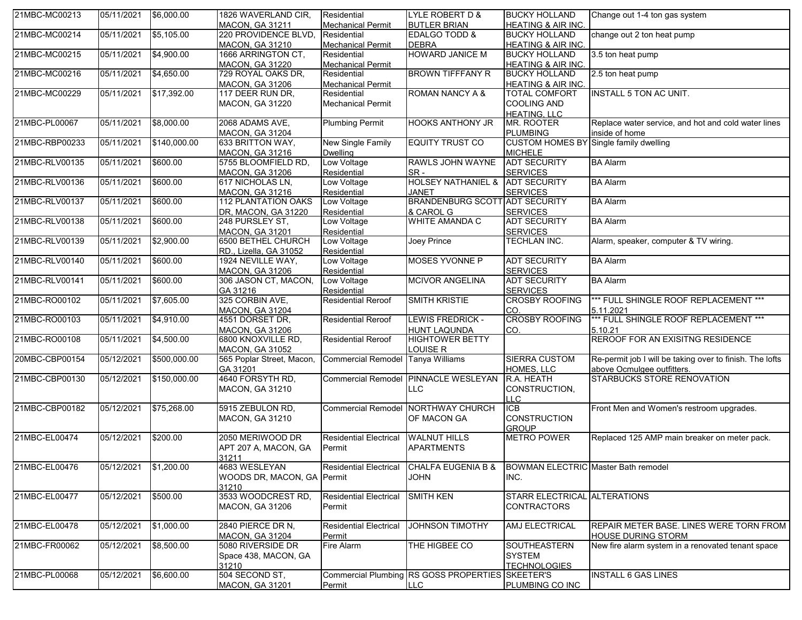| 21MBC-MC00213  | 05/11/2021 | \$6,000.00   | 1826 WAVERLAND CIR,         | Residential                   | LYLE ROBERT D &                                  | <b>BUCKY HOLLAND</b>                          | Change out 1-4 ton gas system                            |
|----------------|------------|--------------|-----------------------------|-------------------------------|--------------------------------------------------|-----------------------------------------------|----------------------------------------------------------|
|                |            |              | <b>MACON, GA 31211</b>      | <b>Mechanical Permit</b>      | <b>BUTLER BRIAN</b>                              | <b>HEATING &amp; AIR INC.</b>                 |                                                          |
| 21MBC-MC00214  | 05/11/2021 | \$5,105.00   | 220 PROVIDENCE BLVD,        | Residential                   | EDALGO TODD &                                    | <b>BUCKY HOLLAND</b>                          | change out 2 ton heat pump                               |
|                |            |              | <b>MACON, GA 31210</b>      | <b>Mechanical Permit</b>      | <b>DEBRA</b>                                     | HEATING & AIR INC.                            |                                                          |
| 21MBC-MC00215  | 05/11/2021 | \$4,900.00   | 1666 ARRINGTON CT,          | Residential                   | <b>HOWARD JANICE M</b>                           | <b>BUCKY HOLLAND</b>                          | 3.5 ton heat pump                                        |
|                |            |              | MACON, GA 31220             | <b>Mechanical Permit</b>      |                                                  | <b>HEATING &amp; AIR INC.</b>                 |                                                          |
| 21MBC-MC00216  | 05/11/2021 | \$4,650.00   | 729 ROYAL OAKS DR,          | Residential                   | <b>BROWN TIFFFANY R</b>                          | <b>BUCKY HOLLAND</b>                          | 2.5 ton heat pump                                        |
|                |            |              | <b>MACON, GA 31206</b>      | <b>Mechanical Permit</b>      |                                                  | <b>HEATING &amp; AIR INC.</b>                 |                                                          |
| 21MBC-MC00229  | 05/11/2021 | \$17,392.00  | 117 DEER RUN DR,            | Residential                   | <b>ROMAN NANCY A &amp;</b>                       | <b>TOTAL COMFORT</b>                          | <b>INSTALL 5 TON AC UNIT.</b>                            |
|                |            |              | <b>MACON, GA 31220</b>      | <b>Mechanical Permit</b>      |                                                  | <b>COOLING AND</b>                            |                                                          |
|                |            |              |                             |                               |                                                  | <b>HEATING, LLC</b>                           |                                                          |
| 21MBC-PL00067  | 05/11/2021 | \$8,000.00   | 2068 ADAMS AVE,             | <b>Plumbing Permit</b>        | HOOKS ANTHONY JR                                 | MR. ROOTER                                    | Replace water service, and hot and cold water lines      |
|                |            |              | <b>MACON, GA 31204</b>      |                               |                                                  | <b>PLUMBING</b>                               | inside of home                                           |
| 21MBC-RBP00233 | 05/11/2021 | \$140,000.00 | 633 BRITTON WAY,            | New Single Family             | <b>EQUITY TRUST CO</b>                           | <b>CUSTOM HOMES BY Single family dwelling</b> |                                                          |
|                |            |              | <b>MACON, GA 31216</b>      | <b>Dwelling</b>               |                                                  | <b>MICHELE</b>                                |                                                          |
| 21MBC-RLV00135 | 05/11/2021 | \$600.00     | 5755 BLOOMFIELD RD,         | Low Voltage                   | RAWLS JOHN WAYNE                                 | <b>ADT SECURITY</b>                           | <b>BA Alarm</b>                                          |
|                |            |              |                             |                               | SR-                                              |                                               |                                                          |
|                |            |              | <b>MACON, GA 31206</b>      | Residential                   |                                                  | <b>SERVICES</b>                               |                                                          |
| 21MBC-RLV00136 | 05/11/2021 | \$600.00     | 617 NICHOLAS LN,            | Low Voltage                   | HOLSEY NATHANIEL & ADT SECURITY                  |                                               | <b>BA Alarm</b>                                          |
|                |            |              | <b>MACON, GA 31216</b>      | Residential                   | <b>JANET</b>                                     | <b>SERVICES</b>                               |                                                          |
| 21MBC-RLV00137 | 05/11/2021 | \$600.00     | 112 PLANTATION OAKS         | Low Voltage                   | <b>BRANDENBURG SCOTT ADT SECURITY</b>            |                                               | <b>BA Alarm</b>                                          |
|                |            |              | DR, MACON, GA 31220         | Residential                   | & CAROL G                                        | <b>SERVICES</b>                               |                                                          |
| 21MBC-RLV00138 | 05/11/2021 | \$600.00     | 248 PURSLEY ST,             | Low Voltage                   | <b>WHITE AMANDA C</b>                            | <b>ADT SECURITY</b>                           | <b>BA Alarm</b>                                          |
|                |            |              | <b>MACON, GA 31201</b>      | Residential                   |                                                  | <b>SERVICES</b>                               |                                                          |
| 21MBC-RLV00139 | 05/11/2021 | \$2,900.00   | 6500 BETHEL CHURCH          | Low Voltage                   | Joey Prince                                      | TECHLAN INC.                                  | Alarm, speaker, computer & TV wiring.                    |
|                |            |              | RD., Lizella, GA 31052      | Residential                   |                                                  |                                               |                                                          |
| 21MBC-RLV00140 | 05/11/2021 | \$600.00     | 1924 NEVILLE WAY,           | Low Voltage                   | MOSES YVONNE P                                   | <b>ADT SECURITY</b>                           | <b>BA Alarm</b>                                          |
|                |            |              | <b>MACON, GA 31206</b>      | Residential                   |                                                  | <b>SERVICES</b>                               |                                                          |
| 21MBC-RLV00141 | 05/11/2021 | \$600.00     | 306 JASON CT, MACON,        | Low Voltage                   | <b>MCIVOR ANGELINA</b>                           | <b>ADT SECURITY</b>                           | <b>BA Alarm</b>                                          |
|                |            |              | GA 31216                    | Residential                   |                                                  | <b>SERVICES</b>                               |                                                          |
| 21MBC-RO00102  | 05/11/2021 | \$7,605.00   | 325 CORBIN AVE,             | <b>Residential Reroof</b>     | <b>SMITH KRISTIE</b>                             | <b>CROSBY ROOFING</b>                         | *** FULL SHINGLE ROOF REPLACEMENT ***                    |
|                |            |              | <b>MACON, GA 31204</b>      |                               |                                                  | CO.                                           | 5.11.2021                                                |
| 21MBC-RO00103  | 05/11/2021 | \$4,910.00   | 4551 DORSET DR,             | <b>Residential Reroof</b>     | LEWIS FREDRICK -                                 | <b>CROSBY ROOFING</b>                         | *** FULL SHINGLE ROOF REPLACEMENT ***                    |
|                |            |              |                             |                               |                                                  |                                               | 5.10.21                                                  |
|                |            |              | <b>MACON, GA 31206</b>      |                               | <b>HUNT LAQUNDA</b>                              | CO.                                           |                                                          |
| 21MBC-RO00108  | 05/11/2021 | \$4,500.00   | 6800 KNOXVILLE RD,          | <b>Residential Reroof</b>     | <b>HIGHTOWER BETTY</b>                           |                                               | REROOF FOR AN EXISITNG RESIDENCE                         |
|                |            |              | <b>MACON, GA 31052</b>      |                               | LOUISE R                                         |                                               |                                                          |
| 20MBC-CBP00154 | 05/12/2021 | \$500,000.00 | 565 Poplar Street, Macon,   | <b>Commercial Remodel</b>     | <b>Tanya Williams</b>                            | <b>SIERRA CUSTOM</b>                          | Re-permit job I will be taking over to finish. The lofts |
|                |            |              | GA 31201                    |                               |                                                  | HOMES, LLC                                    | above Ocmulgee outfitters.                               |
| 21MBC-CBP00130 | 05/12/2021 | \$150,000.00 | 4640 FORSYTH RD,            |                               | Commercial Remodel PINNACLE WESLEYAN             | R.A. HEATH                                    | STARBUCKS STORE RENOVATION                               |
|                |            |              | <b>MACON, GA 31210</b>      |                               | <b>LLC</b>                                       | CONSTRUCTION.                                 |                                                          |
|                |            |              |                             |                               |                                                  | <b>LLC</b>                                    |                                                          |
| 21MBC-CBP00182 | 05/12/2021 | \$75,268.00  | 5915 ZEBULON RD,            |                               | Commercial Remodel NORTHWAY CHURCH               | <b>ICB</b>                                    | Front Men and Women's restroom upgrades.                 |
|                |            |              | <b>MACON, GA 31210</b>      |                               | OF MACON GA                                      | <b>CONSTRUCTION</b>                           |                                                          |
|                |            |              |                             |                               |                                                  | <b>GROUP</b>                                  |                                                          |
| 21MBC-EL00474  | 05/12/2021 | \$200.00     | 2050 MERIWOOD DR            | <b>Residential Electrical</b> | <b>WALNUT HILLS</b>                              | <b>METRO POWER</b>                            | Replaced 125 AMP main breaker on meter pack.             |
|                |            |              | APT 207 A, MACON, GA        | Permit                        | <b>APARTMENTS</b>                                |                                               |                                                          |
|                |            |              | 31211                       |                               |                                                  |                                               |                                                          |
| 21MBC-EL00476  | 05/12/2021 | \$1,200.00   | 4683 WESLEYAN               |                               | Residential Electrical CHALFA EUGENIA B &        | <b>BOWMAN ELECTRIC</b> Master Bath remodel    |                                                          |
|                |            |              | WOODS DR, MACON, GA Permit  |                               | <b>JOHN</b>                                      | INC.                                          |                                                          |
|                |            |              |                             |                               |                                                  |                                               |                                                          |
| 21MBC-EL00477  |            |              | 31210<br>3533 WOODCREST RD, | <b>Residential Electrical</b> |                                                  | STARR ELECTRICAL ALTERATIONS                  |                                                          |
|                | 05/12/2021 | \$500.00     |                             |                               | <b>SMITH KEN</b>                                 |                                               |                                                          |
|                |            |              | <b>MACON, GA 31206</b>      | Permit                        |                                                  | <b>CONTRACTORS</b>                            |                                                          |
|                |            |              |                             |                               |                                                  |                                               |                                                          |
| 21MBC-EL00478  | 05/12/2021 | \$1,000.00   | 2840 PIERCE DR N,           | <b>Residential Electrical</b> | <b>JOHNSON TIMOTHY</b>                           | AMJ ELECTRICAL                                | REPAIR METER BASE. LINES WERE TORN FROM                  |
|                |            |              | <b>MACON, GA 31204</b>      | Permit                        |                                                  |                                               | <b>HOUSE DURING STORM</b>                                |
| 21MBC-FR00062  | 05/12/2021 | \$8,500.00   | 5080 RIVERSIDE DR           | Fire Alarm                    | THE HIGBEE CO                                    | SOUTHEASTERN                                  | New fire alarm system in a renovated tenant space        |
|                |            |              | Space 438, MACON, GA        |                               |                                                  | <b>SYSTEM</b>                                 |                                                          |
|                |            |              | 31210                       |                               |                                                  | <b>TECHNOLOGIES</b>                           |                                                          |
| 21MBC-PL00068  | 05/12/2021 | \$6,600.00   | 504 SECOND ST,              |                               | Commercial Plumbing RS GOSS PROPERTIES SKEETER'S |                                               | <b>INSTALL 6 GAS LINES</b>                               |
|                |            |              | <b>MACON, GA 31201</b>      | Permit                        | LLC                                              | PLUMBING CO INC                               |                                                          |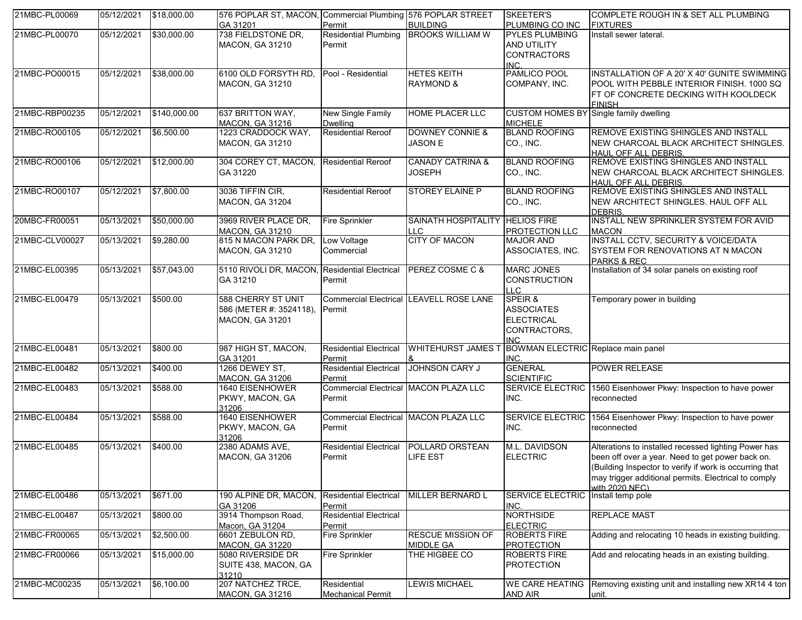| 21MBC-PL00069  | 05/12/2021 | \$18,000.00  | 576 POPLAR ST, MACON, Commercial Plumbing 576 POPLAR STREET<br>GA 31201        | Permit                                          | <b>BUILDING</b>                                       | SKEETER'S<br>PLUMBING CO INC                                              | COMPLETE ROUGH IN & SET ALL PLUMBING<br><b>FIXTURES</b>                                                                                                                                                                                       |
|----------------|------------|--------------|--------------------------------------------------------------------------------|-------------------------------------------------|-------------------------------------------------------|---------------------------------------------------------------------------|-----------------------------------------------------------------------------------------------------------------------------------------------------------------------------------------------------------------------------------------------|
| 21MBC-PL00070  | 05/12/2021 | \$30,000.00  | 738 FIELDSTONE DR,<br><b>MACON, GA 31210</b>                                   | <b>Residential Plumbing</b><br>Permit           | <b>BROOKS WILLIAM W</b>                               | <b>PYLES PLUMBING</b><br><b>AND UTILITY</b><br><b>CONTRACTORS</b><br>INC. | Install sewer lateral.                                                                                                                                                                                                                        |
| 21MBC-PO00015  | 05/12/2021 | \$38,000.00  | 6100 OLD FORSYTH RD,<br><b>MACON, GA 31210</b>                                 | Pool - Residential                              | <b>HETES KEITH</b><br><b>RAYMOND &amp;</b>            | PAMLICO POOL<br>COMPANY, INC.                                             | INSTALLATION OF A 20' X 40' GUNITE SWIMMING<br>POOL WITH PEBBLE INTERIOR FINISH. 1000 SQ<br>FT OF CONCRETE DECKING WITH KOOLDECK<br><b>FINISH</b>                                                                                             |
| 21MBC-RBP00235 | 05/12/2021 | \$140,000.00 | 637 BRITTON WAY,<br><b>MACON, GA 31216</b>                                     | New Single Family<br><b>Dwelling</b>            | <b>HOME PLACER LLC</b>                                | <b>CUSTOM HOMES BY Single family dwelling</b><br><b>MICHELE</b>           |                                                                                                                                                                                                                                               |
| 21MBC-RO00105  | 05/12/2021 | \$6,500.00   | 1223 CRADDOCK WAY,<br>MACON, GA 31210                                          | <b>Residential Reroof</b>                       | <b>DOWNEY CONNIE &amp;</b><br><b>JASON E</b>          | <b>BLAND ROOFING</b><br>CO., INC.                                         | REMOVE EXISTING SHINGLES AND INSTALL<br>NEW CHARCOAL BLACK ARCHITECT SHINGLES.<br>HAUL OFF ALL DEBRIS.                                                                                                                                        |
| 21MBC-RO00106  | 05/12/2021 | \$12,000.00  | 304 COREY CT, MACON,<br>GA 31220                                               | <b>Residential Reroof</b>                       | <b>CANADY CATRINA &amp;</b><br><b>JOSEPH</b>          | <b>BLAND ROOFING</b><br>CO., INC.                                         | REMOVE EXISTING SHINGLES AND INSTALL<br>NEW CHARCOAL BLACK ARCHITECT SHINGLES.<br><b>HAUL OFF ALL DEBRIS.</b>                                                                                                                                 |
| 21MBC-RO00107  | 05/12/2021 | \$7,800.00   | 3036 TIFFIN CIR,<br><b>MACON, GA 31204</b>                                     | <b>Residential Reroof</b>                       | <b>STOREY ELAINE P</b>                                | <b>BLAND ROOFING</b><br>CO., INC.                                         | REMOVE EXISTING SHINGLES AND INSTALL<br>NEW ARCHITECT SHINGLES. HAUL OFF ALL<br><b>DEBRIS</b>                                                                                                                                                 |
| 20MBC-FR00051  | 05/13/2021 | \$50,000.00  | 3969 RIVER PLACE DR,<br><b>MACON, GA 31210</b>                                 | <b>Fire Sprinkler</b>                           | SAINATH HOSPITALITY HELIOS FIRE<br><b>LLC</b>         | <b>PROTECTION LLC</b>                                                     | INSTALL NEW SPRINKLER SYSTEM FOR AVID<br><b>MACON</b>                                                                                                                                                                                         |
| 21MBC-CLV00027 | 05/13/2021 | \$9,280.00   | 815 N MACON PARK DR,<br><b>MACON, GA 31210</b>                                 | Low Voltage<br>Commercial                       | <b>CITY OF MACON</b>                                  | <b>MAJOR AND</b><br>ASSOCIATES, INC.                                      | INSTALL CCTV, SECURITY & VOICE/DATA<br>SYSTEM FOR RENOVATIONS AT N MACON<br><b>PARKS &amp; REC</b>                                                                                                                                            |
| 21MBC-EL00395  | 05/13/2021 | \$57,043.00  | 5110 RIVOLI DR, MACON, Residential Electrical<br>GA 31210                      | Permit                                          | <b>PEREZ COSME C &amp;</b>                            | <b>MARC JONES</b><br><b>CONSTRUCTION</b><br>LLC.                          | Installation of 34 solar panels on existing roof                                                                                                                                                                                              |
| 21MBC-EL00479  | 05/13/2021 | \$500.00     | <b>588 CHERRY ST UNIT</b><br>586 (METER #: 3524118),<br><b>MACON, GA 31201</b> | Permit                                          | <b>Commercial Electrical LEAVELL ROSE LANE</b>        | SPEIR &<br><b>ASSOCIATES</b><br><b>ELECTRICAL</b><br>CONTRACTORS,<br>INC. | Temporary power in building                                                                                                                                                                                                                   |
| 21MBC-EL00481  | 05/13/2021 | \$800.00     | 987 HIGH ST, MACON,<br>GA 31201                                                | <b>Residential Electrical</b><br>Permit         | WHITEHURST JAMES T BOWMAN ELECTRIC Replace main panel | INC.                                                                      |                                                                                                                                                                                                                                               |
| 21MBC-EL00482  | 05/13/2021 | \$400.00     | 1266 DEWEY ST,<br><b>MACON, GA 31206</b>                                       | <b>Residential Electrical</b><br>Permit         | JOHNSON CARY J                                        | <b>GENERAL</b><br><b>SCIENTIFIC</b>                                       | <b>POWER RELEASE</b>                                                                                                                                                                                                                          |
| 21MBC-EL00483  | 05/13/2021 | \$588.00     | 1640 EISENHOWER<br>PKWY, MACON, GA<br>31206                                    | Commercial Electrical MACON PLAZA LLC<br>Permit |                                                       | <b>SERVICE ELECTRIC</b><br>INC.                                           | 1560 Eisenhower Pkwy: Inspection to have power<br>reconnected                                                                                                                                                                                 |
| 21MBC-EL00484  | 05/13/2021 | \$588.00     | 1640 EISENHOWER<br>PKWY, MACON, GA<br>31206                                    | Commercial Electrical MACON PLAZA LLC<br>Permit |                                                       | <b>SERVICE ELECTRIC</b><br>INC.                                           | 1564 Eisenhower Pkwy: Inspection to have power<br>reconnected                                                                                                                                                                                 |
| 21MBC-EL00485  | 05/13/2021 | \$400.00     | 2380 ADAMS AVE,<br><b>MACON, GA 31206</b>                                      | <b>Residential Electrical</b><br>Permit         | <b>POLLARD ORSTEAN</b><br><b>LIFE EST</b>             | M.L. DAVIDSON<br><b>ELECTRIC</b>                                          | Alterations to installed recessed lighting Power has<br>been off over a year. Need to get power back on.<br>(Building Inspector to verify if work is occurring that<br>may trigger additional permits. Electrical to comply<br>with 2020 NFC) |
| 21MBC-EL00486  | 05/13/2021 | \$671.00     | 190 ALPINE DR, MACON,<br>GA 31206                                              | <b>Residential Electrical</b><br>Permit         | MILLER BERNARD L                                      | <b>SERVICE ELECTRIC</b><br>INC.                                           | Install temp pole                                                                                                                                                                                                                             |
| 21MBC-EL00487  | 05/13/2021 | \$800.00     | 3914 Thompson Road,<br>Macon, GA 31204                                         | <b>Residential Electrical</b><br>Permit         |                                                       | <b>NORTHSIDE</b><br><b>ELECTRIC</b>                                       | <b>REPLACE MAST</b>                                                                                                                                                                                                                           |
| 21MBC-FR00065  | 05/13/2021 | \$2,500.00   | 6601 ZEBULON RD,<br><b>MACON, GA 31220</b>                                     | <b>Fire Sprinkler</b>                           | <b>RESCUE MISSION OF</b><br><b>MIDDLE GA</b>          | <b>ROBERTS FIRE</b><br><b>PROTECTION</b>                                  | Adding and relocating 10 heads in existing building.                                                                                                                                                                                          |
| 21MBC-FR00066  | 05/13/2021 | \$15,000.00  | 5080 RIVERSIDE DR<br>SUITE 438, MACON, GA<br>31210                             | <b>Fire Sprinkler</b>                           | THE HIGBEE CO                                         | <b>ROBERTS FIRE</b><br><b>PROTECTION</b>                                  | Add and relocating heads in an existing building.                                                                                                                                                                                             |
| 21MBC-MC00235  | 05/13/2021 | \$6,100.00   | 207 NATCHEZ TRCE,<br><b>MACON, GA 31216</b>                                    | Residential<br><b>Mechanical Permit</b>         | <b>LEWIS MICHAEL</b>                                  | <b>WE CARE HEATING</b><br>AND AIR                                         | Removing existing unit and installing new XR14 4 ton<br>lunit.                                                                                                                                                                                |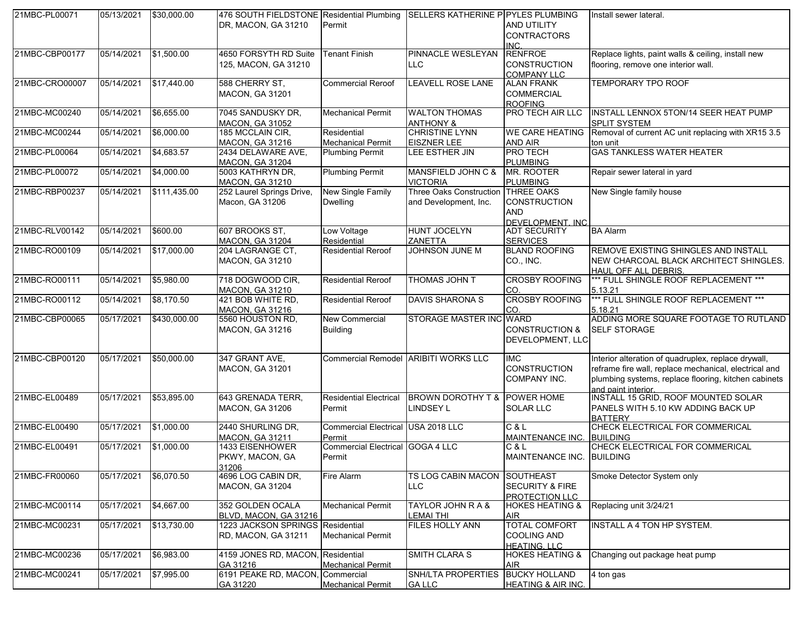| 21MBC-PL00071  | 05/13/2021 | \$30,000.00  | 476 SOUTH FIELDSTONE Residential Plumbing |                                    | SELLERS KATHERINE P PYLES PLUMBING   |                                              | Install sewer lateral.                                |
|----------------|------------|--------------|-------------------------------------------|------------------------------------|--------------------------------------|----------------------------------------------|-------------------------------------------------------|
|                |            |              | DR, MACON, GA 31210                       | Permit                             |                                      | <b>AND UTILITY</b>                           |                                                       |
|                |            |              |                                           |                                    |                                      | <b>CONTRACTORS</b>                           |                                                       |
|                |            |              |                                           |                                    |                                      | INC.                                         |                                                       |
| 21MBC-CBP00177 | 05/14/2021 | \$1,500.00   | 4650 FORSYTH RD Suite                     | <b>Tenant Finish</b>               | PINNACLE WESLEYAN                    | <b>RENFROE</b>                               | Replace lights, paint walls & ceiling, install new    |
|                |            |              | 125, MACON, GA 31210                      |                                    | <b>LLC</b>                           | <b>CONSTRUCTION</b>                          | flooring, remove one interior wall.                   |
| 21MBC-CRO00007 | 05/14/2021 | \$17,440.00  | 588 CHERRY ST.                            | <b>Commercial Reroof</b>           | LEAVELL ROSE LANE                    | <b>COMPANY LLC</b><br><b>ALAN FRANK</b>      | TEMPORARY TPO ROOF                                    |
|                |            |              | <b>MACON, GA 31201</b>                    |                                    |                                      | <b>COMMERCIAL</b>                            |                                                       |
|                |            |              |                                           |                                    |                                      | <b>ROOFING</b>                               |                                                       |
| 21MBC-MC00240  | 05/14/2021 | \$6,655.00   | 7045 SANDUSKY DR,                         | <b>Mechanical Permit</b>           | <b>WALTON THOMAS</b>                 | PRO TECH AIR LLC                             | INSTALL LENNOX 5TON/14 SEER HEAT PUMP                 |
|                |            |              | <b>MACON, GA 31052</b>                    |                                    | <b>ANTHONY &amp;</b>                 |                                              | <b>SPLIT SYSTEM</b>                                   |
| 21MBC-MC00244  | 05/14/2021 | \$6,000.00   | 185 MCCLAIN CIR,                          | Residential                        | <b>CHRISTINE LYNN</b>                | <b>WE CARE HEATING</b>                       | Removal of current AC unit replacing with XR15 3.5    |
|                |            |              | MACON, GA 31216                           | <b>Mechanical Permit</b>           | <b>EISZNER LEE</b>                   | <b>AND AIR</b>                               | ton unit                                              |
| 21MBC-PL00064  | 05/14/2021 | \$4,683.57   | 2434 DELAWARE AVE,                        | <b>Plumbing Permit</b>             | LEE ESTHER JIN                       | <b>PRO TECH</b>                              | <b>GAS TANKLESS WATER HEATER</b>                      |
|                |            |              | <b>MACON, GA 31204</b>                    |                                    |                                      | <b>PLUMBING</b>                              |                                                       |
| 21MBC-PL00072  | 05/14/2021 | \$4,000.00   | 5003 KATHRYN DR,                          | <b>Plumbing Permit</b>             | MANSFIELD JOHN C &                   | MR. ROOTER                                   | Repair sewer lateral in yard                          |
|                |            |              | <b>MACON, GA 31210</b>                    |                                    | <b>VICTORIA</b>                      | <b>PLUMBING</b>                              |                                                       |
| 21MBC-RBP00237 | 05/14/2021 | \$111,435.00 | 252 Laurel Springs Drive,                 | New Single Family                  | Three Oaks Construction THREE OAKS   |                                              | New Single family house                               |
|                |            |              | Macon, GA 31206                           | <b>Dwelling</b>                    | and Development, Inc.                | <b>CONSTRUCTION</b>                          |                                                       |
|                |            |              |                                           |                                    |                                      | <b>AND</b>                                   |                                                       |
| 21MBC-RLV00142 | 05/14/2021 | \$600.00     | 607 BROOKS ST,                            | Low Voltage                        | <b>HUNT JOCELYN</b>                  | DEVELOPMENT, INC.<br><b>ADT SECURITY</b>     | <b>BA Alarm</b>                                       |
|                |            |              | <b>MACON, GA 31204</b>                    | Residential                        | ZANETTA                              | <b>SERVICES</b>                              |                                                       |
| 21MBC-RO00109  | 05/14/2021 | \$17,000.00  | 204 LAGRANGE CT,                          | <b>Residential Reroof</b>          | <b>JOHNSON JUNE M</b>                | <b>BLAND ROOFING</b>                         | REMOVE EXISTING SHINGLES AND INSTALL                  |
|                |            |              | <b>MACON, GA 31210</b>                    |                                    |                                      | CO., INC.                                    | NEW CHARCOAL BLACK ARCHITECT SHINGLES.                |
|                |            |              |                                           |                                    |                                      |                                              | <b>HAUL OFF ALL DEBRIS.</b>                           |
| 21MBC-RO00111  | 05/14/2021 | \$5,980.00   | 718 DOGWOOD CIR,                          | <b>Residential Reroof</b>          | THOMAS JOHN T                        | <b>CROSBY ROOFING</b>                        | *** FULL SHINGLE ROOF REPLACEMENT ***                 |
|                |            |              | <b>MACON, GA 31210</b>                    |                                    |                                      | CO.                                          | 5.13.21                                               |
| 21MBC-RO00112  | 05/14/2021 | \$8,170.50   | 421 BOB WHITE RD,                         | <b>Residential Reroof</b>          | <b>DAVIS SHARONA S</b>               | <b>CROSBY ROOFING</b>                        | *** FULL SHINGLE ROOF REPLACEMENT ***                 |
|                |            |              | <b>MACON, GA 31216</b>                    |                                    |                                      | CO.                                          | 5.18.21                                               |
| 21MBC-CBP00065 | 05/17/2021 | \$430,000.00 | 5560 HOUSTON RD,                          | <b>New Commercial</b>              | STORAGE MASTER INC WARD              |                                              | ADDING MORE SQUARE FOOTAGE TO RUTLAND                 |
|                |            |              | <b>MACON, GA 31216</b>                    | <b>Building</b>                    |                                      | <b>CONSTRUCTION &amp;</b>                    | <b>SELF STORAGE</b>                                   |
|                |            |              |                                           |                                    |                                      | DEVELOPMENT, LLC                             |                                                       |
| 21MBC-CBP00120 | 05/17/2021 | \$50,000.00  | 347 GRANT AVE,                            |                                    | Commercial Remodel ARIBITI WORKS LLC | <b>IMC</b>                                   | Interior alteration of quadruplex, replace drywall,   |
|                |            |              | MACON, GA 31201                           |                                    |                                      | <b>CONSTRUCTION</b>                          | reframe fire wall, replace mechanical, electrical and |
|                |            |              |                                           |                                    |                                      | <b>COMPANY INC.</b>                          | plumbing systems, replace flooring, kitchen cabinets  |
|                |            |              |                                           |                                    |                                      |                                              | and paint interior.                                   |
| 21MBC-EL00489  | 05/17/2021 | \$53,895.00  | 643 GRENADA TERR,                         | <b>Residential Electrical</b>      | BROWN DOROTHY T & POWER HOME         |                                              | INSTALL 15 GRID, ROOF MOUNTED SOLAR                   |
|                |            |              | <b>MACON, GA 31206</b>                    | Permit                             | <b>LINDSEY L</b>                     | <b>SOLAR LLC</b>                             | PANELS WITH 5.10 KW ADDING BACK UP                    |
|                |            |              |                                           |                                    |                                      |                                              | <b>BATTERY</b>                                        |
| 21MBC-EL00490  | 05/17/2021 | \$1,000.00   | 2440 SHURLING DR,                         | Commercial Electrical USA 2018 LLC |                                      | C & L                                        | CHECK ELECTRICAL FOR COMMERICAL                       |
|                |            |              | <b>MACON, GA 31211</b>                    | Permit                             |                                      | <b>MAINTENANCE INC.</b>                      | <b>BUILDING</b>                                       |
| 21MBC-EL00491  | 05/17/2021 | \$1,000.00   | 1433 EISENHOWER                           | Commercial Electrical GOGA 4 LLC   |                                      | C & L                                        | CHECK ELECTRICAL FOR COMMERICAL                       |
|                |            |              | PKWY, MACON, GA                           | Permit                             |                                      | MAINTENANCE INC. BUILDING                    |                                                       |
|                |            |              | 31206                                     |                                    |                                      |                                              |                                                       |
| 21MBC-FR00060  | 05/17/2021 | \$6,070.50   | 4696 LOG CABIN DR,                        | <b>Fire Alarm</b>                  | TS LOG CABIN MACON SOUTHEAST         |                                              | Smoke Detector System only                            |
|                |            |              | <b>MACON, GA 31204</b>                    |                                    | <b>LLC</b>                           | <b>SECURITY &amp; FIRE</b>                   |                                                       |
| 21MBC-MC00114  | 05/17/2021 | \$4,667.00   | 352 GOLDEN OCALA                          | <b>Mechanical Permit</b>           | <b>TAYLOR JOHN R A &amp;</b>         | PROTECTION LLC<br><b>HOKES HEATING &amp;</b> | Replacing unit 3/24/21                                |
|                |            |              | BLVD, MACON, GA 31216                     |                                    | <b>LEMAI THI</b>                     | <b>AIR</b>                                   |                                                       |
| 21MBC-MC00231  | 05/17/2021 | \$13,730.00  | 1223 JACKSON SPRINGS Residential          |                                    | FILES HOLLY ANN                      | <b>TOTAL COMFORT</b>                         | <b>INSTALL A 4 TON HP SYSTEM.</b>                     |
|                |            |              | RD, MACON, GA 31211                       | <b>Mechanical Permit</b>           |                                      | <b>COOLING AND</b>                           |                                                       |
|                |            |              |                                           |                                    |                                      | <b>HEATING, LLC</b>                          |                                                       |
| 21MBC-MC00236  | 05/17/2021 | \$6,983.00   | 4159 JONES RD, MACON, Residential         |                                    | SMITH CLARA S                        | <b>HOKES HEATING &amp;</b>                   | Changing out package heat pump                        |
|                |            |              | GA 31216                                  | <b>Mechanical Permit</b>           |                                      | AIR                                          |                                                       |
| 21MBC-MC00241  | 05/17/2021 | \$7,995.00   | 6191 PEAKE RD, MACON, Commercial          |                                    | <b>SNH/LTA PROPERTIES</b>            | <b>BUCKY HOLLAND</b>                         | $\overline{4}$ ton gas                                |
|                |            |              | GA 31220                                  | <b>Mechanical Permit</b>           | <b>GALLC</b>                         | <b>HEATING &amp; AIR INC.</b>                |                                                       |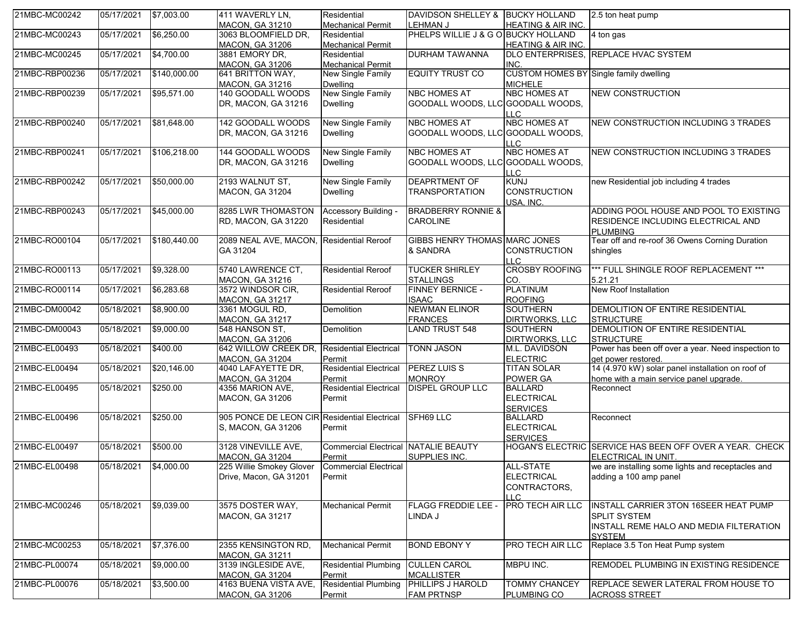| 21MBC-MC00242  | 05/17/2021            | \$7,003.00   | 411 WAVERLY LN,                               | Residential                                 | DAVIDSON SHELLEY & BUCKY HOLLAND          |                                               | 2.5 ton heat pump                                                                            |
|----------------|-----------------------|--------------|-----------------------------------------------|---------------------------------------------|-------------------------------------------|-----------------------------------------------|----------------------------------------------------------------------------------------------|
|                |                       |              | <b>MACON, GA 31210</b>                        | <b>Mechanical Permit</b>                    | <b>LEHMAN J</b>                           | HEATING & AIR INC.                            |                                                                                              |
| 21MBC-MC00243  | 05/17/2021            | \$6,250.00   | 3063 BLOOMFIELD DR,                           | Residential                                 | PHELPS WILLIE J & G O BUCKY HOLLAND       |                                               | 4 ton gas                                                                                    |
|                |                       |              | <b>MACON, GA 31206</b>                        | <b>Mechanical Permit</b>                    |                                           | <b>HEATING &amp; AIR INC.</b>                 |                                                                                              |
| 21MBC-MC00245  | 05/17/2021            | \$4,700.00   | 3881 EMORY DR,<br><b>MACON, GA 31206</b>      | Residential<br><b>Mechanical Permit</b>     | <b>DURHAM TAWANNA</b>                     | INC.                                          | DLO ENTERPRISES, REPLACE HVAC SYSTEM                                                         |
| 21MBC-RBP00236 | 05/17/2021            | \$140,000.00 | 641 BRITTON WAY,                              | New Single Family                           | <b>EQUITY TRUST CO</b>                    | CUSTOM HOMES BY Single family dwelling        |                                                                                              |
|                |                       |              | <b>MACON, GA 31216</b>                        | <b>Dwelling</b>                             |                                           | <b>MICHELE</b>                                |                                                                                              |
| 21MBC-RBP00239 | 05/17/2021            | \$95,571.00  | 140 GOODALL WOODS                             | New Single Family                           | <b>NBC HOMES AT</b>                       | <b>NBC HOMES AT</b>                           | <b>NEW CONSTRUCTION</b>                                                                      |
|                |                       |              | DR, MACON, GA 31216                           | <b>Dwelling</b>                             | GOODALL WOODS, LLC GOODALL WOODS,         | $\overline{C}$                                |                                                                                              |
| 21MBC-RBP00240 | 05/17/2021            | \$81,648.00  | 142 GOODALL WOODS                             | <b>New Single Family</b>                    | <b>NBC HOMES AT</b>                       | <b>NBC HOMES AT</b>                           | NEW CONSTRUCTION INCLUDING 3 TRADES                                                          |
|                |                       |              | DR. MACON. GA 31216                           | <b>Dwelling</b>                             | GOODALL WOODS, LLC GOODALL WOODS,         | LL C                                          |                                                                                              |
| 21MBC-RBP00241 | 05/17/2021            | \$106,218.00 | 144 GOODALL WOODS                             | <b>New Single Family</b>                    | <b>NBC HOMES AT</b>                       | <b>NBC HOMES AT</b>                           | NEW CONSTRUCTION INCLUDING 3 TRADES                                                          |
|                |                       |              | DR, MACON, GA 31216                           | <b>Dwelling</b>                             | GOODALL WOODS, LLC GOODALL WOODS,         | <b>LLC</b>                                    |                                                                                              |
| 21MBC-RBP00242 | 05/17/2021            | \$50,000.00  | 2193 WALNUT ST,                               | <b>New Single Family</b>                    | <b>DEAPRTMENT OF</b>                      | <b>KUNJ</b>                                   | new Residential job including 4 trades                                                       |
|                |                       |              | <b>MACON, GA 31204</b>                        | <b>Dwelling</b>                             | <b>TRANSPORTATION</b>                     | <b>CONSTRUCTION</b><br>USA, INC.              |                                                                                              |
| 21MBC-RBP00243 | 05/17/2021            | \$45,000.00  | 8285 LWR THOMASTON                            | Accessory Building -                        | <b>BRADBERRY RONNIE &amp;</b>             |                                               | ADDING POOL HOUSE AND POOL TO EXISTING                                                       |
|                |                       |              | RD, MACON, GA 31220                           | Residential                                 | <b>CAROLINE</b>                           |                                               | <b>RESIDENCE INCLUDING ELECTRICAL AND</b><br><b>PLUMBING</b>                                 |
| 21MBC-RO00104  | 05/17/2021            | \$180,440.00 | 2089 NEAL AVE, MACON, Residential Reroof      |                                             | <b>GIBBS HENRY THOMAS MARC JONES</b>      |                                               | Tear off and re-roof 36 Owens Corning Duration                                               |
|                |                       |              | GA 31204                                      |                                             | & SANDRA                                  | <b>CONSTRUCTION</b><br>$\overline{C}$         | shingles                                                                                     |
| 21MBC-RO00113  | 05/17/2021            | \$9,328.00   | 5740 LAWRENCE CT,<br>MACON, GA 31216          | <b>Residential Reroof</b>                   | <b>TUCKER SHIRLEY</b><br><b>STALLINGS</b> | <b>CROSBY ROOFING</b><br>CO.                  | *** FULL SHINGLE ROOF REPLACEMENT ***<br>5.21.21                                             |
| 21MBC-RO00114  | 05/17/2021            | \$6,283.68   | 3572 WINDSOR CIR,<br><b>MACON, GA 31217</b>   | <b>Residential Reroof</b>                   | <b>FINNEY BERNICE -</b><br><b>ISAAC</b>   | <b>PLATINUM</b><br><b>ROOFING</b>             | New Roof Installation                                                                        |
| 21MBC-DM00042  | 05/18/2021            | \$8,900.00   | 3361 MOGUL RD.                                | Demolition                                  | <b>NEWMAN ELINOR</b>                      | <b>SOUTHERN</b>                               | DEMOLITION OF ENTIRE RESIDENTIAL                                                             |
|                |                       |              | <b>MACON, GA 31217</b>                        |                                             | <b>FRANCES</b>                            | DIRTWORKS, LLC                                | <b>STRUCTURE</b>                                                                             |
| 21MBC-DM00043  | 05/18/2021            | \$9,000.00   | 548 HANSON ST,                                | Demolition                                  | <b>LAND TRUST 548</b>                     | <b>SOUTHERN</b>                               | DEMOLITION OF ENTIRE RESIDENTIAL                                                             |
|                |                       |              | <b>MACON, GA 31206</b>                        |                                             |                                           | DIRTWORKS, LLC                                | <b>STRUCTURE</b>                                                                             |
| 21MBC-EL00493  | 05/18/2021            | \$400.00     | 642 WILLOW CREEK DR,                          | <b>Residential Electrical</b>               | <b>TONN JASON</b>                         | M.L. DAVIDSON                                 | Power has been off over a year. Need inspection to                                           |
|                |                       |              | <b>MACON, GA 31204</b>                        | Permit                                      |                                           | <b>ELECTRIC</b>                               | get power restored.                                                                          |
| 21MBC-EL00494  | 05/18/2021            | \$20,146.00  | 4040 LAFAYETTE DR,<br><b>MACON, GA 31204</b>  | <b>Residential Electrical</b><br>Permit     | <b>PEREZ LUIS S</b><br><b>MONROY</b>      | <b>TITAN SOLAR</b><br><b>POWER GA</b>         | 14 (4.970 kW) solar panel installation on roof of<br>home with a main service panel upgrade. |
| 21MBC-EL00495  | 05/18/2021            | \$250.00     | 4356 MARION AVE,                              | <b>Residential Electrical</b>               | <b>DISPEL GROUP LLC</b>                   | <b>BALLARD</b>                                | Reconnect                                                                                    |
|                |                       |              | MACON, GA 31206                               | Permit                                      |                                           | <b>ELECTRICAL</b><br><b>SERVICES</b>          |                                                                                              |
| 21MBC-EL00496  | 05/18/2021            | \$250.00     | 905 PONCE DE LEON CIR Residential Electrical  |                                             | <b>SFH69 LLC</b>                          | <b>BALLARD</b>                                | Reconnect                                                                                    |
|                |                       |              | S, MACON, GA 31206                            | Permit                                      |                                           | <b>ELECTRICAL</b><br><b>SERVICES</b>          |                                                                                              |
| 21MBC-EL00497  | 05/18/2021            | \$500.00     | 3128 VINEVILLE AVE,                           | <b>Commercial Electrical NATALIE BEAUTY</b> |                                           |                                               | HOGAN'S ELECTRIC SERVICE HAS BEEN OFF OVER A YEAR. CHECK                                     |
|                |                       |              | <b>MACON, GA 31204</b>                        | Permit                                      | SUPPLIES INC.                             |                                               | ELECTRICAL IN UNIT.                                                                          |
| 21MBC-EL00498  | 05/18/2021 \$4,000.00 |              | 225 Willie Smokey Glover                      | <b>Commercial Electrical</b>                |                                           | ALL-STATE                                     | we are installing some lights and receptacles and                                            |
|                |                       |              | Drive, Macon, GA 31201                        | Permit                                      |                                           | <b>ELECTRICAL</b><br>CONTRACTORS,<br>$\Box$ C | adding a 100 amp panel                                                                       |
| 21MBC-MC00246  | 05/18/2021            | \$9,039.00   | 3575 DOSTER WAY.                              | <b>Mechanical Permit</b>                    | <b>FLAGG FREDDIE LEE -</b>                | PRO TECH AIR LLC                              | <b>INSTALL CARRIER 3TON 16SEER HEAT PUMP</b>                                                 |
|                |                       |              | <b>MACON, GA 31217</b>                        |                                             | LINDA J                                   |                                               | <b>SPLIT SYSTEM</b><br>INSTALL REME HALO AND MEDIA FILTERATION<br><b>SYSTEM</b>              |
| 21MBC-MC00253  | 05/18/2021            | \$7,376.00   | 2355 KENSINGTON RD,<br><b>MACON, GA 31211</b> | <b>Mechanical Permit</b>                    | <b>BOND EBONY Y</b>                       | PRO TECH AIR LLC                              | Replace 3.5 Ton Heat Pump system                                                             |
| 21MBC-PL00074  | 05/18/2021            | \$9,000.00   | 3139 INGLESIDE AVE,                           | <b>Residential Plumbing</b>                 | <b>CULLEN CAROL</b>                       | MBPU INC.                                     | <b>REMODEL PLUMBING IN EXISTING RESIDENCE</b>                                                |
|                |                       |              | <b>MACON, GA 31204</b>                        | Permit                                      | <b>MCALLISTER</b>                         |                                               |                                                                                              |
| 21MBC-PL00076  | 05/18/2021            | \$3,500.00   | 4163 BUENA VISTA AVE,                         | <b>Residential Plumbing</b>                 | <b>PHILLIPS J HAROLD</b>                  | <b>TOMMY CHANCEY</b>                          | REPLACE SEWER LATERAL FROM HOUSE TO                                                          |
|                |                       |              | <b>MACON, GA 31206</b>                        | Permit                                      | <b>FAM PRTNSP</b>                         | <b>PLUMBING CO</b>                            | <b>ACROSS STREET</b>                                                                         |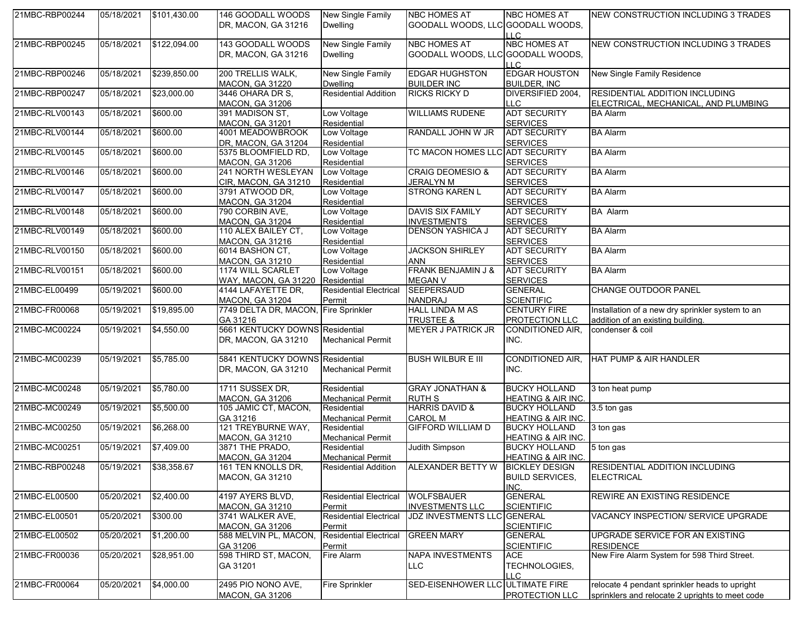| 21MBC-RBP00244 | 05/18/2021 | \$101,430.00 | 146 GOODALL WOODS                          | New Single Family             | <b>NBC HOMES AT</b>                        | <b>NBC HOMES AT</b>                    | NEW CONSTRUCTION INCLUDING 3 TRADES              |
|----------------|------------|--------------|--------------------------------------------|-------------------------------|--------------------------------------------|----------------------------------------|--------------------------------------------------|
|                |            |              | DR, MACON, GA 31216                        | <b>Dwelling</b>               | GOODALL WOODS, LLC GOODALL WOODS,          |                                        |                                                  |
|                |            |              |                                            |                               |                                            | <b>LLC</b>                             |                                                  |
| 21MBC-RBP00245 | 05/18/2021 | \$122,094.00 | 143 GOODALL WOODS                          | New Single Family             | <b>NBC HOMES AT</b>                        | <b>NBC HOMES AT</b>                    | NEW CONSTRUCTION INCLUDING 3 TRADES              |
|                |            |              | DR, MACON, GA 31216                        | <b>Dwelling</b>               | GOODALL WOODS, LLC GOODALL WOODS,          |                                        |                                                  |
|                |            |              |                                            |                               |                                            | LL C.                                  |                                                  |
| 21MBC-RBP00246 | 05/18/2021 | \$239,850.00 | 200 TRELLIS WALK,                          | <b>New Single Family</b>      | <b>EDGAR HUGHSTON</b>                      | <b>EDGAR HOUSTON</b>                   | New Single Family Residence                      |
|                |            |              | <b>MACON, GA 31220</b>                     | <b>Dwelling</b>               | <b>BUILDER INC</b>                         | <b>BUILDER, INC.</b>                   |                                                  |
| 21MBC-RBP00247 | 05/18/2021 | \$23,000.00  | 3446 OHARA DR S,                           | <b>Residential Addition</b>   | <b>RICKS RICKY D</b>                       | DIVERSIFIED 2004,                      | <b>RESIDENTIAL ADDITION INCLUDING</b>            |
|                |            |              | <b>MACON, GA 31206</b>                     |                               |                                            | LLC.                                   | ELECTRICAL, MECHANICAL, AND PLUMBING             |
|                | 05/18/2021 | \$600.00     | 391 MADISON ST,                            | Low Voltage                   | <b>WILLIAMS RUDENE</b>                     | <b>ADT SECURITY</b>                    | <b>BA Alarm</b>                                  |
| 21MBC-RLV00143 |            |              |                                            |                               |                                            |                                        |                                                  |
| 21MBC-RLV00144 | 05/18/2021 | \$600.00     | <b>MACON, GA 31201</b><br>4001 MEADOWBROOK | Residential<br>Low Voltage    | RANDALL JOHN W JR                          | <b>SERVICES</b><br><b>ADT SECURITY</b> | <b>BA Alarm</b>                                  |
|                |            |              |                                            |                               |                                            |                                        |                                                  |
|                |            |              | DR, MACON, GA 31204                        | Residential                   | TC MACON HOMES LLC ADT SECURITY            | <b>SERVICES</b>                        |                                                  |
| 21MBC-RLV00145 | 05/18/2021 | \$600.00     | 5375 BLOOMFIELD RD,                        | Low Voltage                   |                                            |                                        | <b>BA Alarm</b>                                  |
|                |            |              | <b>MACON, GA 31206</b>                     | Residential                   |                                            | <b>SERVICES</b>                        |                                                  |
| 21MBC-RLV00146 | 05/18/2021 | \$600.00     | 241 NORTH WESLEYAN                         | Low Voltage                   | <b>CRAIG DEOMESIO &amp;</b>                | <b>ADT SECURITY</b>                    | <b>BA Alarm</b>                                  |
|                |            |              | CIR, MACON, GA 31210                       | Residential                   | <b>JERALYN M</b>                           | <b>SERVICES</b>                        |                                                  |
| 21MBC-RLV00147 | 05/18/2021 | \$600.00     | 3791 ATWOOD DR,                            | Low Voltage                   | <b>STRONG KAREN L</b>                      | <b>ADT SECURITY</b>                    | <b>BA Alarm</b>                                  |
|                |            |              | <b>MACON, GA 31204</b>                     | Residential                   |                                            | <b>SERVICES</b>                        |                                                  |
| 21MBC-RLV00148 | 05/18/2021 | \$600.00     | 790 CORBIN AVE,                            | Low Voltage                   | <b>DAVIS SIX FAMILY</b>                    | <b>ADT SECURITY</b>                    | <b>BA Alarm</b>                                  |
|                |            |              | <b>MACON, GA 31204</b>                     | Residential                   | <b>INVESTMENTS</b>                         | <b>SERVICES</b>                        |                                                  |
| 21MBC-RLV00149 | 05/18/2021 | \$600.00     | 110 ALEX BAILEY CT,                        | Low Voltage                   | <b>DENSON YASHICA J</b>                    | <b>ADT SECURITY</b>                    | <b>BA Alarm</b>                                  |
|                |            |              | MACON, GA 31216                            | Residential                   |                                            | <b>SERVICES</b>                        |                                                  |
| 21MBC-RLV00150 | 05/18/2021 | \$600.00     | 6014 BASHON CT,                            | Low Voltage                   | <b>JACKSON SHIRLEY</b>                     | <b>ADT SECURITY</b>                    | <b>BA Alarm</b>                                  |
|                |            |              | <b>MACON, GA 31210</b>                     | Residential                   | <b>ANN</b>                                 | <b>SERVICES</b>                        |                                                  |
| 21MBC-RLV00151 | 05/18/2021 | \$600.00     | 1174 WILL SCARLET                          | Low Voltage                   | FRANK BENJAMIN J &                         | <b>ADT SECURITY</b>                    | <b>BA Alarm</b>                                  |
|                |            |              | WAY, MACON, GA 31220                       | Residential                   | <b>MEGAN V</b>                             | <b>SERVICES</b>                        |                                                  |
| 21MBC-EL00499  | 05/19/2021 | \$600.00     | 4144 LAFAYETTE DR,                         | <b>Residential Electrical</b> | SEEPERSAUD                                 | <b>GENERAL</b>                         | CHANGE OUTDOOR PANEL                             |
|                |            |              | <b>MACON, GA 31204</b>                     | Permit                        | <b>NANDRAJ</b>                             | <b>SCIENTIFIC</b>                      |                                                  |
| 21MBC-FR00068  | 05/19/2021 | \$19,895.00  | 7749 DELTA DR, MACON, Fire Sprinkler       |                               | <b>HALL LINDA M AS</b>                     | <b>CENTURY FIRE</b>                    | Installation of a new dry sprinkler system to an |
|                |            |              | GA 31216                                   |                               | <b>TRUSTEE &amp;</b>                       | PROTECTION LLC                         | addition of an existing building.                |
| 21MBC-MC00224  | 05/19/2021 | \$4,550.00   | 5661 KENTUCKY DOWNS Residential            |                               | <b>MEYER J PATRICK JR</b>                  | CONDITIONED AIR,                       | condenser & coil                                 |
|                |            |              | DR, MACON, GA 31210                        | <b>Mechanical Permit</b>      |                                            | INC.                                   |                                                  |
|                |            |              |                                            |                               |                                            |                                        |                                                  |
| 21MBC-MC00239  | 05/19/2021 | \$5,785.00   | 5841 KENTUCKY DOWNS Residential            |                               | <b>BUSH WILBUR E III</b>                   | CONDITIONED AIR,                       | HAT PUMP & AIR HANDLER                           |
|                |            |              | DR, MACON, GA 31210                        | <b>Mechanical Permit</b>      |                                            | INC.                                   |                                                  |
|                |            |              |                                            |                               |                                            |                                        |                                                  |
| 21MBC-MC00248  | 05/19/2021 | \$5,780.00   | 1711 SUSSEX DR,                            | Residential                   | <b>GRAY JONATHAN &amp;</b>                 | <b>BUCKY HOLLAND</b>                   | 3 ton heat pump                                  |
|                |            |              | <b>MACON, GA 31206</b>                     | <b>Mechanical Permit</b>      | <b>RUTH S</b>                              | <b>HEATING &amp; AIR INC.</b>          |                                                  |
| 21MBC-MC00249  | 05/19/2021 | \$5,500.00   | 105 JAMIC CT, MACON,                       | Residential                   | <b>HARRIS DAVID &amp;</b>                  | <b>BUCKY HOLLAND</b>                   | 3.5 ton gas                                      |
|                |            |              |                                            |                               |                                            |                                        |                                                  |
|                |            |              | GA 31216<br>121 TREYBURNE WAY,             | <b>Mechanical Permit</b>      | <b>CAROL M</b><br><b>GIFFORD WILLIAM D</b> | <b>HEATING &amp; AIR INC.</b>          |                                                  |
| 21MBC-MC00250  | 05/19/2021 | \$6,268.00   |                                            | Residential                   |                                            | <b>BUCKY HOLLAND</b>                   | 3 ton gas                                        |
|                |            |              | <b>MACON, GA 31210</b>                     | <b>Mechanical Permit</b>      |                                            | <b>HEATING &amp; AIR INC.</b>          |                                                  |
| 21MBC-MC00251  | 05/19/2021 | \$7,409.00   | 3871 THE PRADO,                            | Residential                   | Judith Simpson                             | <b>BUCKY HOLLAND</b>                   | 5 ton gas                                        |
|                |            |              | <b>MACON, GA 31204</b>                     | <b>Mechanical Permit</b>      |                                            | <b>HEATING &amp; AIR INC.</b>          |                                                  |
| 21MBC-RBP00248 | 05/19/2021 | \$38,358.67  | 161 TEN KNOLLS DR,                         | <b>Residential Addition</b>   | ALEXANDER BETTY W                          | <b>BICKLEY DESIGN</b>                  | <b>RESIDENTIAL ADDITION INCLUDING</b>            |
|                |            |              | <b>MACON, GA 31210</b>                     |                               |                                            | <b>BUILD SERVICES.</b>                 | <b>ELECTRICAL</b>                                |
|                |            |              |                                            |                               |                                            | INC.                                   |                                                  |
| 21MBC-EL00500  | 05/20/2021 | \$2,400.00   | 4197 AYERS BLVD,                           | <b>Residential Electrical</b> | <b>WOLFSBAUER</b>                          | <b>GENERAL</b>                         | REWIRE AN EXISTING RESIDENCE                     |
|                |            |              | <b>MACON, GA 31210</b>                     | Permit                        | <b>INVESTMENTS LLC</b>                     | <b>SCIENTIFIC</b>                      |                                                  |
| 21MBC-EL00501  | 05/20/2021 | \$300.00     | 3741 WALKER AVE,                           | <b>Residential Electrical</b> | JDZ INVESTMENTS LLC GENERAL                |                                        | VACANCY INSPECTION/ SERVICE UPGRADE              |
|                |            |              | MACON, GA 31206                            | Permit                        |                                            | <b>SCIENTIFIC</b>                      |                                                  |
| 21MBC-EL00502  | 05/20/2021 | \$1,200.00   | 588 MELVIN PL, MACON,                      | <b>Residential Electrical</b> | <b>GREEN MARY</b>                          | <b>GENERAL</b>                         | UPGRADE SERVICE FOR AN EXISTING                  |
|                |            |              | GA 31206                                   | Permit                        |                                            | <b>SCIENTIFIC</b>                      | <b>RESIDENCE</b>                                 |
| 21MBC-FR00036  | 05/20/2021 | \$28,951.00  | 598 THIRD ST, MACON,                       | Fire Alarm                    | <b>NAPA INVESTMENTS</b>                    | ACE                                    | New Fire Alarm System for 598 Third Street.      |
|                |            |              | GA 31201                                   |                               | <b>LLC</b>                                 | TECHNOLOGIES,                          |                                                  |
|                |            |              |                                            |                               |                                            | LLC.                                   |                                                  |
| 21MBC-FR00064  | 05/20/2021 | \$4,000.00   | 2495 PIO NONO AVE,                         | <b>Fire Sprinkler</b>         | SED-EISENHOWER LLC ULTIMATE FIRE           |                                        | relocate 4 pendant sprinkler heads to upright    |
|                |            |              | <b>MACON, GA 31206</b>                     |                               |                                            | PROTECTION LLC                         | sprinklers and relocate 2 uprights to meet code  |
|                |            |              |                                            |                               |                                            |                                        |                                                  |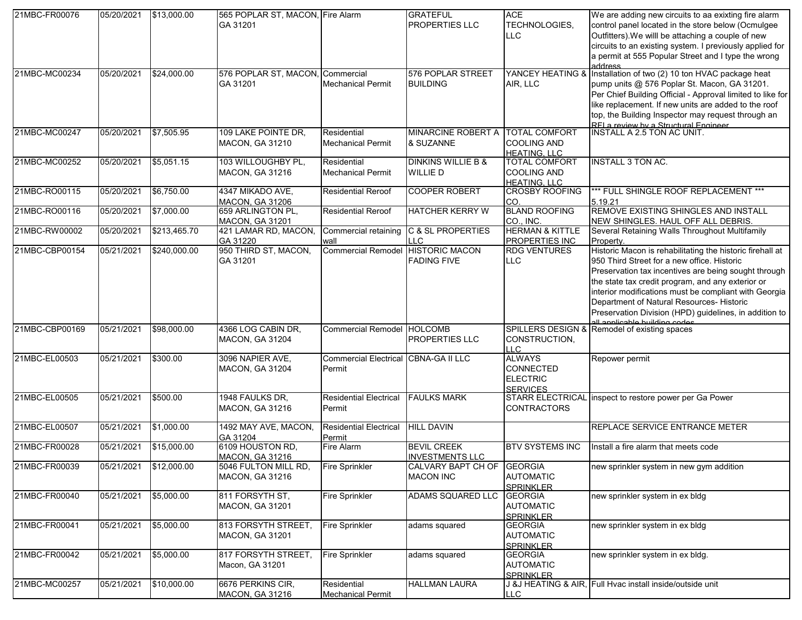| 21MBC-FR00076  | 05/20/2021 | \$13,000.00  | 565 POPLAR ST, MACON, Fire Alarm<br>GA 31201   |                                                | <b>GRATEFUL</b><br><b>PROPERTIES LLC</b>        | <b>ACE</b><br>TECHNOLOGIES,<br>LLC.                                     | We are adding new circuits to aa exixting fire alarm<br>control panel located in the store below (Ocmulgee<br>Outfitters). We willl be attaching a couple of new<br>circuits to an existing system. I previously applied for<br>a permit at 555 Popular Street and I type the wrong<br>address                                                                                                                         |
|----------------|------------|--------------|------------------------------------------------|------------------------------------------------|-------------------------------------------------|-------------------------------------------------------------------------|------------------------------------------------------------------------------------------------------------------------------------------------------------------------------------------------------------------------------------------------------------------------------------------------------------------------------------------------------------------------------------------------------------------------|
| 21MBC-MC00234  | 05/20/2021 | \$24,000.00  | 576 POPLAR ST, MACON, Commercial<br>GA 31201   | <b>Mechanical Permit</b>                       | 576 POPLAR STREET<br><b>BUILDING</b>            | YANCEY HEATING &<br>AIR, LLC                                            | Installation of two (2) 10 ton HVAC package heat<br>pump units @ 576 Poplar St. Macon, GA 31201.<br>Per Chief Building Official - Approval limited to like for<br>like replacement. If new units are added to the roof<br>top, the Building Inspector may request through an<br>RELa review by a Structural Engineer<br>INSTALL A 2.5 TON AC UNIT                                                                      |
| 21MBC-MC00247  | 05/20/2021 | \$7,505.95   | 109 LAKE POINTE DR.<br><b>MACON, GA 31210</b>  | Residential<br><b>Mechanical Permit</b>        | MINARCINE ROBERT A TOTAL COMFORT<br>& SUZANNE   | <b>COOLING AND</b><br><b>HEATING, LLC</b>                               |                                                                                                                                                                                                                                                                                                                                                                                                                        |
| 21MBC-MC00252  | 05/20/2021 | \$5,051.15   | 103 WILLOUGHBY PL,<br>MACON, GA 31216          | Residential<br><b>Mechanical Permit</b>        | <b>DINKINS WILLIE B &amp;</b><br><b>WILLIED</b> | TOTAL COMFORT<br><b>COOLING AND</b><br><b>HEATING, LLC</b>              | <b>INSTALL 3 TON AC.</b>                                                                                                                                                                                                                                                                                                                                                                                               |
| 21MBC-RO00115  | 05/20/2021 | \$6,750.00   | 4347 MIKADO AVE,<br><b>MACON, GA 31206</b>     | <b>Residential Reroof</b>                      | <b>COOPER ROBERT</b>                            | <b>CROSBY ROOFING</b><br>ICO.                                           | *** FULL SHINGLE ROOF REPLACEMENT ***<br>5.19.21                                                                                                                                                                                                                                                                                                                                                                       |
| 21MBC-RO00116  | 05/20/2021 | \$7,000.00   | 659 ARLINGTON PL,<br><b>MACON, GA 31201</b>    | <b>Residential Reroof</b>                      | <b>HATCHER KERRY W</b>                          | <b>BLAND ROOFING</b><br>CO., INC.                                       | REMOVE EXISTING SHINGLES AND INSTALL<br>NEW SHINGLES. HAUL OFF ALL DEBRIS.                                                                                                                                                                                                                                                                                                                                             |
| 21MBC-RW00002  | 05/20/2021 | \$213,465.70 | 421 LAMAR RD, MACON,<br>GA 31220               | Commercial retaining<br>wall                   | <b>C &amp; SL PROPERTIES</b><br><b>LLC</b>      | <b>HERMAN &amp; KITTLE</b><br>PROPERTIES INC                            | Several Retaining Walls Throughout Multifamily<br>Property.                                                                                                                                                                                                                                                                                                                                                            |
| 21MBC-CBP00154 | 05/21/2021 | \$240,000.00 | 950 THIRD ST, MACON,<br>GA 31201               | Commercial Remodel HISTORIC MACON              | <b>FADING FIVE</b>                              | <b>RDG VENTURES</b><br><b>LLC</b>                                       | Historic Macon is rehabilitating the historic firehall at<br>950 Third Street for a new office. Historic<br>Preservation tax incentives are being sought through<br>the state tax credit program, and any exterior or<br>interior modifications must be compliant with Georgia<br>Department of Natural Resources- Historic<br>Preservation Division (HPD) guidelines, in addition to<br>all annlicable building codes |
| 21MBC-CBP00169 | 05/21/2021 | \$98,000.00  | 4366 LOG CABIN DR,<br>MACON, GA 31204          | Commercial Remodel HOLCOMB                     | <b>PROPERTIES LLC</b>                           | CONSTRUCTION,<br>LLC.                                                   | SPILLERS DESIGN & Remodel of existing spaces                                                                                                                                                                                                                                                                                                                                                                           |
| 21MBC-EL00503  | 05/21/2021 | \$300.00     | 3096 NAPIER AVE,<br>MACON, GA 31204            | Commercial Electrical CBNA-GA II LLC<br>Permit |                                                 | <b>ALWAYS</b><br><b>CONNECTED</b><br><b>ELECTRIC</b><br><b>SERVICES</b> | Repower permit                                                                                                                                                                                                                                                                                                                                                                                                         |
| 21MBC-EL00505  | 05/21/2021 | \$500.00     | 1948 FAULKS DR,<br>MACON, GA 31216             | <b>Residential Electrical</b><br>Permit        | <b>FAULKS MARK</b>                              | <b>CONTRACTORS</b>                                                      | STARR ELECTRICAL inspect to restore power per Ga Power                                                                                                                                                                                                                                                                                                                                                                 |
| 21MBC-EL00507  | 05/21/2021 | \$1,000.00   | 1492 MAY AVE, MACON,<br>GA 31204               | <b>Residential Electrical</b><br>Permit        | <b>HILL DAVIN</b>                               |                                                                         | REPLACE SERVICE ENTRANCE METER                                                                                                                                                                                                                                                                                                                                                                                         |
| 21MBC-FR00028  | 05/21/2021 | \$15,000.00  | 6109 HOUSTON RD,<br><b>MACON, GA 31216</b>     | Fire Alarm                                     | <b>BEVIL CREEK</b><br><b>INVESTMENTS LLC</b>    | <b>BTV SYSTEMS INC</b>                                                  | Install a fire alarm that meets code                                                                                                                                                                                                                                                                                                                                                                                   |
| 21MBC-FR00039  | 05/21/2021 | \$12,000.00  | 5046 FULTON MILL RD.<br><b>MACON, GA 31216</b> | <b>Fire Sprinkler</b>                          | CALVARY BAPT CH OF<br><b>MACON INC</b>          | <b>IGEORGIA</b><br><b>AUTOMATIC</b><br><b>SPRINKLER</b>                 | new sprinkler system in new gym addition                                                                                                                                                                                                                                                                                                                                                                               |
| 21MBC-FR00040  | 05/21/2021 | \$5,000.00   | 811 FORSYTH ST.<br>MACON, GA 31201             | <b>Fire Sprinkler</b>                          | ADAMS SQUARED LLC                               | <b>GEORGIA</b><br><b>AUTOMATIC</b><br><b>SPRINKLER</b>                  | new sprinkler system in ex bldg                                                                                                                                                                                                                                                                                                                                                                                        |
| 21MBC-FR00041  | 05/21/2021 | \$5,000.00   | 813 FORSYTH STREET,<br>MACON, GA 31201         | <b>Fire Sprinkler</b>                          | adams squared                                   | <b>GEORGIA</b><br><b>AUTOMATIC</b><br><b>SPRINKLER</b>                  | new sprinkler system in ex bldg                                                                                                                                                                                                                                                                                                                                                                                        |
| 21MBC-FR00042  | 05/21/2021 | \$5,000.00   | 817 FORSYTH STREET,<br>Macon, GA 31201         | <b>Fire Sprinkler</b>                          | adams squared                                   | <b>GEORGIA</b><br><b>AUTOMATIC</b><br><b>SPRINKLER</b>                  | new sprinkler system in ex bldg.                                                                                                                                                                                                                                                                                                                                                                                       |
| 21MBC-MC00257  | 05/21/2021 | \$10,000.00  | 6676 PERKINS CIR,<br><b>MACON, GA 31216</b>    | Residential<br><b>Mechanical Permit</b>        | <b>HALLMAN LAURA</b>                            | <b>LLC</b>                                                              | J &J HEATING & AIR, Full Hvac install inside/outside unit                                                                                                                                                                                                                                                                                                                                                              |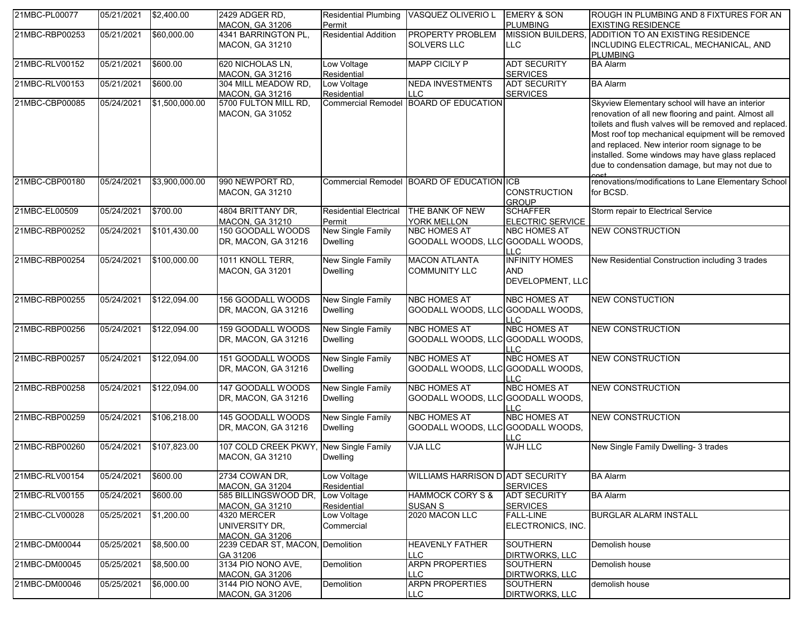| 21MBC-PL00077  | 05/21/2021 | \$2,400.00     | 2429 ADGER RD.                                          |                                             | Residential Plumbing VASQUEZ OLIVERIO L                  | <b>EMERY &amp; SON</b>                                  | ROUGH IN PLUMBING AND 8 FIXTURES FOR AN                                                                                                                                                                                                                                                                                                                                       |
|----------------|------------|----------------|---------------------------------------------------------|---------------------------------------------|----------------------------------------------------------|---------------------------------------------------------|-------------------------------------------------------------------------------------------------------------------------------------------------------------------------------------------------------------------------------------------------------------------------------------------------------------------------------------------------------------------------------|
|                |            |                | <b>MACON, GA 31206</b>                                  | Permit                                      |                                                          | <b>PLUMBING</b>                                         | <b>EXISTING RESIDENCE</b>                                                                                                                                                                                                                                                                                                                                                     |
| 21MBC-RBP00253 | 05/21/2021 | \$60,000.00    | 4341 BARRINGTON PL,<br><b>MACON, GA 31210</b>           | <b>Residential Addition</b>                 | <b>PROPERTY PROBLEM</b><br><b>SOLVERS LLC</b>            | <b>MISSION BUILDERS,</b><br><b>LLC</b>                  | ADDITION TO AN EXISTING RESIDENCE<br>INCLUDING ELECTRICAL, MECHANICAL, AND<br><b>PLUMBING</b>                                                                                                                                                                                                                                                                                 |
| 21MBC-RLV00152 | 05/21/2021 | \$600.00       | 620 NICHOLAS LN,<br><b>MACON, GA 31216</b>              | Low Voltage<br>Residential                  | <b>MAPP CICILY P</b>                                     | <b>ADT SECURITY</b><br><b>SERVICES</b>                  | <b>BA Alarm</b>                                                                                                                                                                                                                                                                                                                                                               |
| 21MBC-RLV00153 | 05/21/2021 | \$600.00       | 304 MILL MEADOW RD,<br><b>MACON, GA 31216</b>           | Low Voltage<br>Residential                  | <b>NEDA INVESTMENTS</b><br><b>LLC</b>                    | <b>ADT SECURITY</b><br><b>SERVICES</b>                  | <b>BA Alarm</b>                                                                                                                                                                                                                                                                                                                                                               |
| 21MBC-CBP00085 | 05/24/2021 | \$1,500,000.00 | 5700 FULTON MILL RD,<br><b>MACON, GA 31052</b>          |                                             | Commercial Remodel BOARD OF EDUCATION                    |                                                         | Skyview Elementary school will have an interior<br>renovation of all new flooring and paint. Almost all<br>toilets and flush valves will be removed and replaced.<br>Most roof top mechanical equipment will be removed<br>and replaced. New interior room signage to be<br>installed. Some windows may have glass replaced<br>due to condensation damage, but may not due to |
| 21MBC-CBP00180 | 05/24/2021 | \$3,900,000.00 | 990 NEWPORT RD,<br><b>MACON, GA 31210</b>               |                                             | Commercial Remodel BOARD OF EDUCATION ICB                | <b>CONSTRUCTION</b><br><b>GROUP</b>                     | renovations/modifications to Lane Elementary School<br>for BCSD.                                                                                                                                                                                                                                                                                                              |
| 21MBC-EL00509  | 05/24/2021 | \$700.00       | 4804 BRITTANY DR,<br><b>MACON, GA 31210</b>             | <b>Residential Electrical</b><br>Permit     | THE BANK OF NEW<br><b>YORK MELLON</b>                    | <b>SCHAFFER</b><br><b>ELECTRIC SERVICE</b>              | Storm repair to Electrical Service                                                                                                                                                                                                                                                                                                                                            |
| 21MBC-RBP00252 | 05/24/2021 | \$101,430.00   | 150 GOODALL WOODS<br>DR, MACON, GA 31216                | <b>New Single Family</b><br><b>Dwelling</b> | <b>NBC HOMES AT</b><br>GOODALL WOODS, LLC GOODALL WOODS, | <b>NBC HOMES AT</b><br>TTC.                             | <b>NEW CONSTRUCTION</b>                                                                                                                                                                                                                                                                                                                                                       |
| 21MBC-RBP00254 | 05/24/2021 | \$100,000.00   | 1011 KNOLL TERR,<br><b>MACON, GA 31201</b>              | <b>New Single Family</b><br><b>Dwelling</b> | <b>MACON ATLANTA</b><br><b>COMMUNITY LLC</b>             | <b>INFINITY HOMES</b><br><b>AND</b><br>DEVELOPMENT, LLC | New Residential Construction including 3 trades                                                                                                                                                                                                                                                                                                                               |
| 21MBC-RBP00255 | 05/24/2021 | \$122,094.00   | 156 GOODALL WOODS<br>DR, MACON, GA 31216                | New Single Family<br><b>Dwelling</b>        | <b>NBC HOMES AT</b><br>GOODALL WOODS, LLC GOODALL WOODS, | <b>NBC HOMES AT</b><br>LLC                              | <b>NEW CONSTUCTION</b>                                                                                                                                                                                                                                                                                                                                                        |
| 21MBC-RBP00256 | 05/24/2021 | \$122,094.00   | 159 GOODALL WOODS<br>DR, MACON, GA 31216                | New Single Family<br><b>Dwelling</b>        | <b>NBC HOMES AT</b><br>GOODALL WOODS, LLC GOODALL WOODS, | <b>NBC HOMES AT</b><br>LLC.                             | <b>NEW CONSTRUCTION</b>                                                                                                                                                                                                                                                                                                                                                       |
| 21MBC-RBP00257 | 05/24/2021 | \$122,094.00   | 151 GOODALL WOODS<br>DR, MACON, GA 31216                | <b>New Single Family</b><br><b>Dwelling</b> | <b>NBC HOMES AT</b><br>GOODALL WOODS, LLC GOODALL WOODS, | <b>NBC HOMES AT</b><br>LLC.                             | <b>NEW CONSTRUCTION</b>                                                                                                                                                                                                                                                                                                                                                       |
| 21MBC-RBP00258 | 05/24/2021 | \$122,094.00   | 147 GOODALL WOODS<br>DR, MACON, GA 31216                | <b>New Single Family</b><br><b>Dwelling</b> | <b>NBC HOMES AT</b><br>GOODALL WOODS, LLC GOODALL WOODS, | <b>NBC HOMES AT</b><br><b>LLC</b>                       | <b>NEW CONSTRUCTION</b>                                                                                                                                                                                                                                                                                                                                                       |
| 21MBC-RBP00259 | 05/24/2021 | \$106,218.00   | 145 GOODALL WOODS<br>DR, MACON, GA 31216                | <b>New Single Family</b><br><b>Dwelling</b> | <b>NBC HOMES AT</b><br>GOODALL WOODS, LLC GOODALL WOODS, | <b>NBC HOMES AT</b><br>LLC.                             | <b>NEW CONSTRUCTION</b>                                                                                                                                                                                                                                                                                                                                                       |
| 21MBC-RBP00260 | 05/24/2021 | \$107,823.00   | 107 COLD CREEK PKWY<br><b>MACON, GA 31210</b>           | <b>New Single Family</b><br>Dwelling        | <b>VJA LLC</b>                                           | <b>WJH LLC</b>                                          | New Single Family Dwelling- 3 trades                                                                                                                                                                                                                                                                                                                                          |
| 21MBC-RLV00154 | 05/24/2021 | \$600.00       | 2734 COWAN DR,<br><b>MACON, GA 31204</b>                | Low Voltage<br>Residential                  | WILLIAMS HARRISON D ADT SECURITY                         | <b>SERVICES</b>                                         | <b>BA Alarm</b>                                                                                                                                                                                                                                                                                                                                                               |
| 21MBC-RLV00155 | 05/24/2021 | \$600.00       | 585 BILLINGSWOOD DR,<br><b>MACON, GA 31210</b>          | Low Voltage<br>Residential                  | <b>HAMMOCK CORY S &amp;</b><br><b>SUSAN S</b>            | <b>ADT SECURITY</b><br><b>SERVICES</b>                  | <b>BA Alarm</b>                                                                                                                                                                                                                                                                                                                                                               |
| 21MBC-CLV00028 | 05/25/2021 | \$1,200.00     | 4320 MERCER<br>UNIVERSITY DR,<br><b>MACON, GA 31206</b> | Low Voltage<br>Commercial                   | 2020 MACON LLC                                           | <b>FALL-LINE</b><br>ELECTRONICS, INC.                   | <b>BURGLAR ALARM INSTALL</b>                                                                                                                                                                                                                                                                                                                                                  |
| 21MBC-DM00044  | 05/25/2021 | \$8,500.00     | 2239 CEDAR ST, MACON, Demolition<br>GA 31206            |                                             | <b>HEAVENLY FATHER</b><br><b>LLC</b>                     | <b>SOUTHERN</b><br><b>DIRTWORKS, LLC</b>                | Demolish house                                                                                                                                                                                                                                                                                                                                                                |
| 21MBC-DM00045  | 05/25/2021 | \$8,500.00     | 3134 PIO NONO AVE,<br><b>MACON, GA 31206</b>            | Demolition                                  | <b>ARPN PROPERTIES</b><br><b>LLC</b>                     | <b>SOUTHERN</b><br><b>DIRTWORKS, LLC</b>                | Demolish house                                                                                                                                                                                                                                                                                                                                                                |
| 21MBC-DM00046  | 05/25/2021 | \$6,000.00     | 3144 PIO NONO AVE.<br><b>MACON, GA 31206</b>            | Demolition                                  | <b>ARPN PROPERTIES</b><br>LLC.                           | <b>SOUTHERN</b><br><b>DIRTWORKS, LLC</b>                | demolish house                                                                                                                                                                                                                                                                                                                                                                |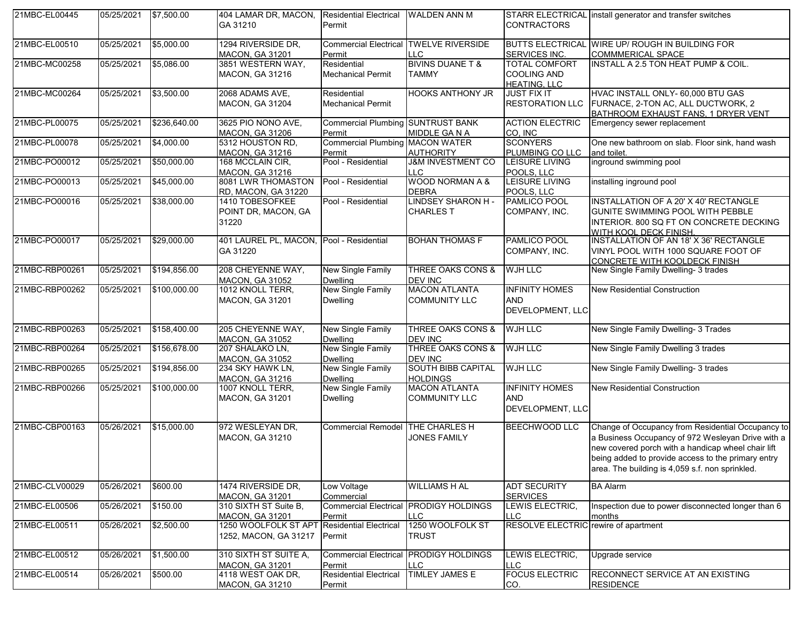| 21MBC-EL00445  | 05/25/2021 | \$7,500.00   | 404 LAMAR DR, MACON, Residential Electrical<br>GA 31210 | Permit                                             | <b>WALDEN ANN M</b>                                         | <b>CONTRACTORS</b>                                      | STARR ELECTRICAL install generator and transfer switches                                                                                                                                                                                                              |
|----------------|------------|--------------|---------------------------------------------------------|----------------------------------------------------|-------------------------------------------------------------|---------------------------------------------------------|-----------------------------------------------------------------------------------------------------------------------------------------------------------------------------------------------------------------------------------------------------------------------|
| 21MBC-EL00510  | 05/25/2021 | \$5,000.00   | 1294 RIVERSIDE DR,<br><b>MACON, GA 31201</b>            | Permit                                             | <b>Commercial Electrical TWELVE RIVERSIDE</b><br><b>LLC</b> | <b>SERVICES INC.</b>                                    | BUTTS ELECTRICAL WIRE UP/ ROUGH IN BUILDING FOR<br><b>COMMMERICAL SPACE</b>                                                                                                                                                                                           |
| 21MBC-MC00258  | 05/25/2021 | \$5,086.00   | 3851 WESTERN WAY,<br>MACON, GA 31216                    | Residential<br><b>Mechanical Permit</b>            | <b>BIVINS DUANE T &amp;</b><br><b>TAMMY</b>                 | TOTAL COMFORT<br>COOLING AND<br><b>HEATING, LLC</b>     | <b>INSTALL A 2.5 TON HEAT PUMP &amp; COIL.</b>                                                                                                                                                                                                                        |
| 21MBC-MC00264  | 05/25/2021 | \$3,500.00   | 2068 ADAMS AVE,<br>MACON, GA 31204                      | Residential<br><b>Mechanical Permit</b>            | <b>HOOKS ANTHONY JR</b>                                     | <b>JUST FIX IT</b><br><b>RESTORATION LLC</b>            | HVAC INSTALL ONLY- 60,000 BTU GAS<br>FURNACE, 2-TON AC, ALL DUCTWORK, 2<br>BATHROOM EXHAUST FANS. 1 DRYER VENT                                                                                                                                                        |
| 21MBC-PL00075  | 05/25/2021 | \$236,640.00 | 3625 PIO NONO AVE,<br><b>MACON, GA 31206</b>            | <b>Commercial Plumbing SUNTRUST BANK</b><br>Permit | MIDDLE GANA                                                 | <b>ACTION ELECTRIC</b><br>CO. INC                       | Emergency sewer replacement                                                                                                                                                                                                                                           |
| 21MBC-PL00078  | 05/25/2021 | \$4,000.00   | 5312 HOUSTON RD,<br><b>MACON, GA 31216</b>              | <b>Commercial Plumbing MACON WATER</b><br>Permit   | <b>AUTHORITY</b>                                            | <b>SCONYERS</b><br>PLUMBING CO LLC                      | One new bathroom on slab. Floor sink, hand wash<br>and toilet.                                                                                                                                                                                                        |
| 21MBC-PO00012  | 05/25/2021 | \$50,000.00  | 168 MCCLAIN CIR,<br><b>MACON, GA 31216</b>              | Pool - Residential                                 | <b>J&amp;M INVESTMENT CO</b><br><b>LLC</b>                  | LEISURE LIVING<br>POOLS, LLC                            | inground swimming pool                                                                                                                                                                                                                                                |
| 21MBC-PO00013  | 05/25/2021 | \$45,000.00  | 8081 LWR THOMASTON<br>RD, MACON, GA 31220               | Pool - Residential                                 | <b>WOOD NORMAN A &amp;</b><br><b>DEBRA</b>                  | LEISURE LIVING<br>POOLS, LLC                            | installing inground pool                                                                                                                                                                                                                                              |
| 21MBC-PO00016  | 05/25/2021 | \$38,000.00  | 1410 TOBESOFKEE<br>POINT DR, MACON, GA<br>31220         | Pool - Residential                                 | <b>LINDSEY SHARON H-</b><br><b>CHARLES T</b>                | PAMLICO POOL<br>COMPANY, INC.                           | INSTALLATION OF A 20' X 40' RECTANGLE<br><b>GUNITE SWIMMING POOL WITH PEBBLE</b><br>INTERIOR. 800 SQ FT ON CONCRETE DECKING<br>WITH KOOL DECK FINISH.                                                                                                                 |
| 21MBC-PO00017  | 05/25/2021 | \$29,000.00  | 401 LAUREL PL, MACON, Pool - Residential<br>GA 31220    |                                                    | <b>BOHAN THOMAS F</b>                                       | PAMLICO POOL<br>COMPANY, INC.                           | INSTALLATION OF AN 18' X 36' RECTANGLE<br>VINYL POOL WITH 1000 SQUARE FOOT OF<br>CONCRETE WITH KOOLDECK FINISH                                                                                                                                                        |
| 21MBC-RBP00261 | 05/25/2021 | \$194,856.00 | 208 CHEYENNE WAY,<br><b>MACON, GA 31052</b>             | New Single Family<br><b>Dwelling</b>               | THREE OAKS CONS &<br><b>DEV INC</b>                         | <b>WJH LLC</b>                                          | New Single Family Dwelling- 3 trades                                                                                                                                                                                                                                  |
| 21MBC-RBP00262 | 05/25/2021 | \$100,000.00 | 1012 KNOLL TERR,<br>MACON, GA 31201                     | New Single Family<br><b>Dwelling</b>               | <b>MACON ATLANTA</b><br><b>COMMUNITY LLC</b>                | <b>INFINITY HOMES</b><br><b>AND</b><br>DEVELOPMENT, LLC | <b>New Residential Construction</b>                                                                                                                                                                                                                                   |
| 21MBC-RBP00263 | 05/25/2021 | \$158,400.00 | 205 CHEYENNE WAY,<br><b>MACON, GA 31052</b>             | New Single Family<br><b>Dwelling</b>               | THREE OAKS CONS &<br><b>DEV INC</b>                         | WJH LLC                                                 | New Single Family Dwelling- 3 Trades                                                                                                                                                                                                                                  |
| 21MBC-RBP00264 | 05/25/2021 | \$156,678.00 | 207 SHALAKO LN,<br><b>MACON, GA 31052</b>               | New Single Family<br><b>Dwelling</b>               | <b>THREE OAKS CONS &amp;</b><br><b>DEV INC</b>              | <b>WJH LLC</b>                                          | New Single Family Dwelling 3 trades                                                                                                                                                                                                                                   |
| 21MBC-RBP00265 | 05/25/2021 | \$194,856.00 | 234 SKY HAWK LN,<br><b>MACON, GA 31216</b>              | <b>New Single Family</b><br><b>Dwelling</b>        | SOUTH BIBB CAPITAL<br><b>HOLDINGS</b>                       | <b>WJH LLC</b>                                          | New Single Family Dwelling- 3 trades                                                                                                                                                                                                                                  |
| 21MBC-RBP00266 | 05/25/2021 | \$100,000.00 | 1007 KNOLL TERR,<br>MACON, GA 31201                     | <b>New Single Family</b><br><b>Dwelling</b>        | <b>MACON ATLANTA</b><br><b>COMMUNITY LLC</b>                | <b>INFINITY HOMES</b><br><b>AND</b><br>DEVELOPMENT, LLC | <b>New Residential Construction</b>                                                                                                                                                                                                                                   |
| 21MBC-CBP00163 | 05/26/2021 | \$15,000.00  | 972 WESLEYAN DR,<br><b>MACON, GA 31210</b>              | Commercial Remodel THE CHARLES H                   | <b>JONES FAMILY</b>                                         | <b>BEECHWOOD LLC</b>                                    | Change of Occupancy from Residential Occupancy to<br>a Business Occupancy of 972 Wesleyan Drive with a<br>new covered porch with a handicap wheel chair lift<br>being added to provide access to the primary entry<br>area. The building is 4,059 s.f. non sprinkled. |
| 21MBC-CLV00029 | 05/26/2021 | \$600.00     | 1474 RIVERSIDE DR.<br><b>MACON, GA 31201</b>            | Low Voltage<br>Commercial                          | WILLIAMS H AL                                               | <b>ADT SECURITY</b><br><b>SERVICES</b>                  | <b>BA Alarm</b>                                                                                                                                                                                                                                                       |
| 21MBC-EL00506  | 05/26/2021 | \$150.00     | 310 SIXTH ST Suite B,<br><b>MACON, GA 31201</b>         | <b>Commercial Electrical</b><br>Permit             | <b>PRODIGY HOLDINGS</b><br>LLC                              | LEWIS ELECTRIC,<br>LLC                                  | Inspection due to power disconnected longer than 6<br>months                                                                                                                                                                                                          |
| 21MBC-EL00511  | 05/26/2021 | \$2,500.00   | 1250 WOOLFOLK ST APT<br>1252, MACON, GA 31217           | <b>Residential Electrical</b><br>Permit            | 1250 WOOLFOLK ST<br><b>TRUST</b>                            | RESOLVE ELECTRIC rewire of apartment                    |                                                                                                                                                                                                                                                                       |
| 21MBC-EL00512  | 05/26/2021 | \$1,500.00   | 310 SIXTH ST SUITE A,<br><b>MACON, GA 31201</b>         | Permit                                             | <b>Commercial Electrical PRODIGY HOLDINGS</b><br><b>LLC</b> | LEWIS ELECTRIC,<br>LLC I                                | Upgrade service                                                                                                                                                                                                                                                       |
| 21MBC-EL00514  | 05/26/2021 | \$500.00     | 4118 WEST OAK DR,<br><b>MACON, GA 31210</b>             | <b>Residential Electrical</b><br>Permit            | TIMLEY JAMES E                                              | <b>FOCUS ELECTRIC</b><br>CO.                            | RECONNECT SERVICE AT AN EXISTING<br><b>RESIDENCE</b>                                                                                                                                                                                                                  |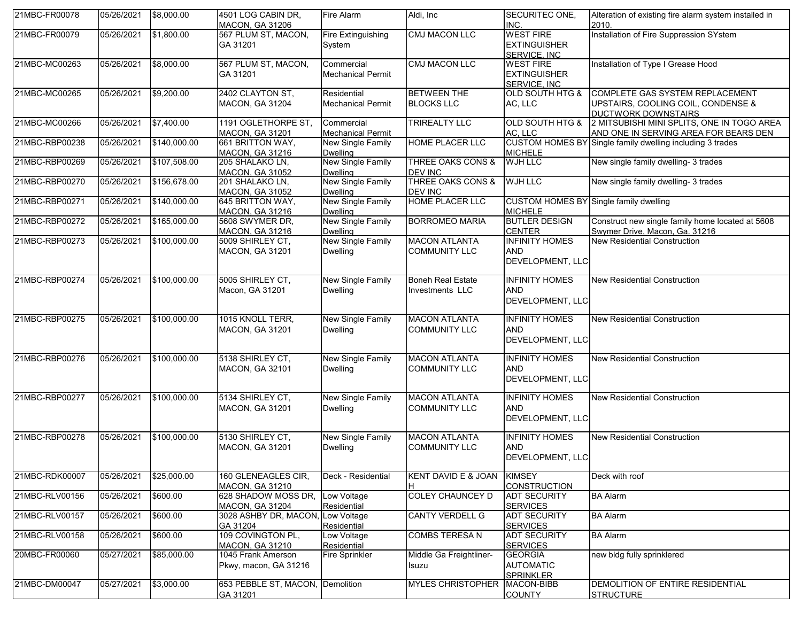| 21MBC-FR00078  | 05/26/2021 | \$8,000.00   | 4501 LOG CABIN DR.<br><b>MACON, GA 31206</b>  | Fire Alarm                                  | Aldi, Inc.                                     | SECURITEC ONE,<br>INC.                                   | Alteration of existing fire alarm system installed in<br>2010.                               |
|----------------|------------|--------------|-----------------------------------------------|---------------------------------------------|------------------------------------------------|----------------------------------------------------------|----------------------------------------------------------------------------------------------|
| 21MBC-FR00079  | 05/26/2021 | \$1,800.00   | 567 PLUM ST, MACON,<br>GA 31201               | Fire Extinguishing<br>System                | <b>CMJ MACON LLC</b>                           | <b>WEST FIRE</b><br><b>EXTINGUISHER</b><br>SERVICE. INC  | Installation of Fire Suppression SYstem                                                      |
| 21MBC-MC00263  | 05/26/2021 | \$8,000.00   | 567 PLUM ST, MACON,<br>GA 31201               | Commercial<br><b>Mechanical Permit</b>      | <b>CMJ MACON LLC</b>                           | <b>WEST FIRE</b><br><b>EXTINGUISHER</b><br>SERVICE. INC  | Installation of Type I Grease Hood                                                           |
| 21MBC-MC00265  | 05/26/2021 | \$9,200.00   | 2402 CLAYTON ST,<br><b>MACON, GA 31204</b>    | Residential<br><b>Mechanical Permit</b>     | <b>BETWEEN THE</b><br><b>BLOCKS LLC</b>        | <b>OLD SOUTH HTG &amp;</b><br>AC, LLC                    | COMPLETE GAS SYSTEM REPLACEMENT<br>UPSTAIRS, COOLING COIL, CONDENSE &<br>DUCTWORK DOWNSTAIRS |
| 21MBC-MC00266  | 05/26/2021 | \$7,400.00   | 1191 OGLETHORPE ST,<br><b>MACON, GA 31201</b> | Commercial<br><b>Mechanical Permit</b>      | TRIREALTY LLC                                  | <b>OLD SOUTH HTG &amp;</b><br>AC, LLC                    | 2 MITSUBISHI MINI SPLITS, ONE IN TOGO AREA<br>AND ONE IN SERVING AREA FOR BEARS DEN          |
| 21MBC-RBP00238 | 05/26/2021 | \$140,000.00 | 661 BRITTON WAY,<br>MACON, GA 31216           | <b>New Single Family</b><br><b>Dwelling</b> | <b>HOME PLACER LLC</b>                         | <b>MICHELE</b>                                           | CUSTOM HOMES BY Single family dwelling including 3 trades                                    |
| 21MBC-RBP00269 | 05/26/2021 | \$107,508.00 | 205 SHALAKO LN,<br><b>MACON, GA 31052</b>     | New Single Family<br><b>Dwelling</b>        | <b>THREE OAKS CONS &amp;</b><br><b>DEV INC</b> | <b>WJH LLC</b>                                           | New single family dwelling- 3 trades                                                         |
| 21MBC-RBP00270 | 05/26/2021 | \$156,678.00 | 201 SHALAKO LN,<br><b>MACON, GA 31052</b>     | <b>New Single Family</b><br><b>Dwelling</b> | THREE OAKS CONS &<br>DEV INC                   | <b>WJH LLC</b>                                           | New single family dwelling- 3 trades                                                         |
| 21MBC-RBP00271 | 05/26/2021 | \$140,000.00 | 645 BRITTON WAY,<br><b>MACON, GA 31216</b>    | <b>New Single Family</b><br><b>Dwelling</b> | HOME PLACER LLC                                | CUSTOM HOMES BY Single family dwelling<br><b>MICHELE</b> |                                                                                              |
| 21MBC-RBP00272 | 05/26/2021 | \$165,000.00 | 5608 SWYMER DR,<br><b>MACON, GA 31216</b>     | New Single Family<br><b>Dwelling</b>        | <b>BORROMEO MARIA</b>                          | <b>BUTLER DESIGN</b><br><b>CENTER</b>                    | Construct new single family home located at 5608<br>Swymer Drive, Macon, Ga. 31216           |
| 21MBC-RBP00273 | 05/26/2021 | \$100,000.00 | 5009 SHIRLEY CT,<br>MACON, GA 31201           | <b>New Single Family</b><br><b>Dwelling</b> | <b>MACON ATLANTA</b><br><b>COMMUNITY LLC</b>   | <b>INFINITY HOMES</b><br><b>AND</b><br>DEVELOPMENT, LLC  | New Residential Construction                                                                 |
| 21MBC-RBP00274 | 05/26/2021 | \$100,000.00 | 5005 SHIRLEY CT.<br>Macon, GA 31201           | <b>New Single Family</b><br><b>Dwelling</b> | <b>Boneh Real Estate</b><br>Investments LLC    | <b>INFINITY HOMES</b><br><b>AND</b><br>DEVELOPMENT, LLC  | <b>New Residential Construction</b>                                                          |
| 21MBC-RBP00275 | 05/26/2021 | \$100,000.00 | 1015 KNOLL TERR,<br><b>MACON, GA 31201</b>    | <b>New Single Family</b><br><b>Dwelling</b> | <b>MACON ATLANTA</b><br><b>COMMUNITY LLC</b>   | <b>INFINITY HOMES</b><br><b>AND</b><br>DEVELOPMENT, LLC  | <b>New Residential Construction</b>                                                          |
| 21MBC-RBP00276 | 05/26/2021 | \$100,000.00 | 5138 SHIRLEY CT,<br><b>MACON, GA 32101</b>    | <b>New Single Family</b><br>Dwelling        | <b>MACON ATLANTA</b><br><b>COMMUNITY LLC</b>   | <b>INFINITY HOMES</b><br><b>AND</b><br>DEVELOPMENT, LLC  | <b>New Residential Construction</b>                                                          |
| 21MBC-RBP00277 | 05/26/2021 | \$100,000.00 | 5134 SHIRLEY CT,<br>MACON, GA 31201           | <b>New Single Family</b><br><b>Dwelling</b> | <b>MACON ATLANTA</b><br><b>COMMUNITY LLC</b>   | <b>INFINITY HOMES</b><br><b>AND</b><br>DEVELOPMENT, LLC  | <b>New Residential Construction</b>                                                          |
| 21MBC-RBP00278 | 05/26/2021 | \$100,000.00 | 5130 SHIRLEY CT,<br>MACON, GA 31201           | <b>New Single Family</b><br><b>Dwelling</b> | <b>MACON ATLANTA</b><br><b>COMMUNITY LLC</b>   | <b>INFINITY HOMES</b><br><b>AND</b><br>DEVELOPMENT, LLC  | <b>New Residential Construction</b>                                                          |
| 21MBC-RDK00007 | 05/26/2021 | \$25,000.00  | 160 GLENEAGLES CIR,<br><b>MACON, GA 31210</b> | Deck - Residential                          | KENT DAVID E & JOAN<br>H.                      | <b>KIMSEY</b><br><b>CONSTRUCTION</b>                     | Deck with roof                                                                               |
| 21MBC-RLV00156 | 05/26/2021 | \$600.00     | 628 SHADOW MOSS DR.<br><b>MACON, GA 31204</b> | Low Voltage<br>Residential                  | <b>COLEY CHAUNCEY D</b>                        | <b>ADT SECURITY</b><br><b>SERVICES</b>                   | <b>BA Alarm</b>                                                                              |
| 21MBC-RLV00157 | 05/26/2021 | \$600.00     | 3028 ASHBY DR, MACON<br>GA 31204              | Low Voltage<br>Residential                  | <b>CANTY VERDELL G</b>                         | <b>ADT SECURITY</b><br><b>SERVICES</b>                   | <b>BA Alarm</b>                                                                              |
| 21MBC-RLV00158 | 05/26/2021 | \$600.00     | 109 COVINGTON PL,<br>MACON, GA 31210          | Low Voltage<br>Residential                  | <b>COMBS TERESA N</b>                          | <b>ADT SECURITY</b><br><b>SERVICES</b>                   | <b>BA Alarm</b>                                                                              |
| 20MBC-FR00060  | 05/27/2021 | \$85,000.00  | 1045 Frank Amerson<br>Pkwy, macon, GA 31216   | Fire Sprinkler                              | Middle Ga Freightliner-<br>Isuzu               | <b>GEORGIA</b><br><b>AUTOMATIC</b><br><b>SPRINKLER</b>   | new bldg fully sprinklered                                                                   |
| 21MBC-DM00047  | 05/27/2021 | \$3,000.00   | 653 PEBBLE ST, MACON.<br>GA 31201             | Demolition                                  | <b>MYLES CHRISTOPHER</b>                       | MACON-BIBB<br><b>COUNTY</b>                              | DEMOLITION OF ENTIRE RESIDENTIAL<br><b>STRUCTURE</b>                                         |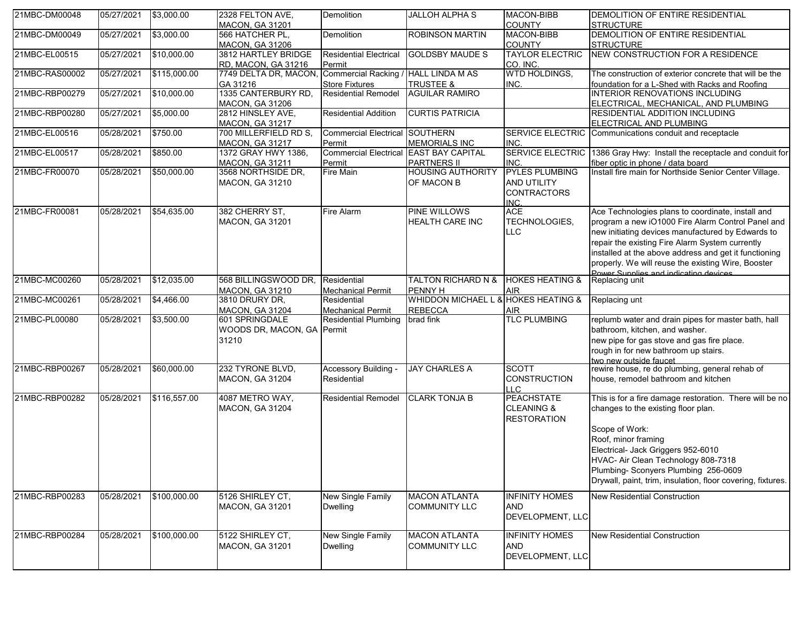| 21MBC-DM00048  | 05/27/2021 | \$3,000.00   | 2328 FELTON AVE,<br><b>MACON, GA 31201</b> | Demolition                           | <b>JALLOH ALPHA S</b>               | <b>MACON-BIBB</b><br><b>COUNTY</b> | DEMOLITION OF ENTIRE RESIDENTIAL<br><b>STRUCTURE</b>                                        |
|----------------|------------|--------------|--------------------------------------------|--------------------------------------|-------------------------------------|------------------------------------|---------------------------------------------------------------------------------------------|
| 21MBC-DM00049  | 05/27/2021 | \$3,000.00   | 566 HATCHER PL.                            | Demolition                           | <b>ROBINSON MARTIN</b>              | MACON-BIBB                         | DEMOLITION OF ENTIRE RESIDENTIAL                                                            |
|                |            |              | <b>MACON, GA 31206</b>                     |                                      |                                     | <b>COUNTY</b>                      | <b>STRUCTURE</b>                                                                            |
| 21MBC-EL00515  | 05/27/2021 | \$10,000.00  | 3812 HARTLEY BRIDGE                        | <b>Residential Electrical</b>        | <b>GOLDSBY MAUDE S</b>              | <b>TAYLOR ELECTRIC</b>             | NEW CONSTRUCTION FOR A RESIDENCE                                                            |
|                |            |              | <b>RD, MACON, GA 31216</b>                 | Permit                               |                                     | CO. INC.                           |                                                                                             |
| 21MBC-RAS00002 | 05/27/2021 | \$115,000.00 | 7749 DELTA DR, MACON                       | Commercial Racking / HALL LINDA M AS |                                     | <b>WTD HOLDINGS,</b>               | The construction of exterior concrete that will be the                                      |
|                |            |              | GA 31216                                   | <b>Store Fixtures</b>                | <b>TRUSTEE &amp;</b>                | INC.                               | foundation for a L-Shed with Racks and Roofing                                              |
| 21MBC-RBP00279 | 05/27/2021 | \$10,000.00  | 1335 CANTERBURY RD,                        | <b>Residential Remodel</b>           | <b>AGUILAR RAMIRO</b>               |                                    | <b>INTERIOR RENOVATIONS INCLUDING</b>                                                       |
|                |            |              | <b>MACON, GA 31206</b>                     |                                      |                                     |                                    | ELECTRICAL, MECHANICAL, AND PLUMBING                                                        |
| 21MBC-RBP00280 | 05/27/2021 | \$5,000.00   | 2812 HINSLEY AVE,                          | <b>Residential Addition</b>          | <b>CURTIS PATRICIA</b>              |                                    | <b>RESIDENTIAL ADDITION INCLUDING</b>                                                       |
|                |            |              | <b>MACON, GA 31217</b>                     |                                      |                                     |                                    | ELECTRICAL AND PLUMBING                                                                     |
| 21MBC-EL00516  | 05/28/2021 | \$750.00     | 700 MILLERFIELD RD S,                      | Commercial Electrical SOUTHERN       |                                     | <b>SERVICE ELECTRIC</b>            | Communications conduit and receptacle                                                       |
|                |            |              | <b>MACON, GA 31217</b>                     | Permit                               | <b>MEMORIALS INC</b>                | INC.                               |                                                                                             |
| 21MBC-EL00517  | 05/28/2021 | \$850.00     | 1372 GRAY HWY 1386,                        | <b>Commercial Electrical</b>         | <b>EAST BAY CAPITAL</b>             | SERVICE ELECTRIC                   | 1386 Gray Hwy: Install the receptacle and conduit for                                       |
|                |            |              | <b>MACON, GA 31211</b>                     | Permit                               | <b>PARTNERS II</b>                  | INC.                               | fiber optic in phone / data board                                                           |
| 21MBC-FR00070  | 05/28/2021 | \$50,000.00  | 3568 NORTHSIDE DR,                         | Fire Main                            | <b>HOUSING AUTHORITY</b>            | <b>PYLES PLUMBING</b>              | Install fire main for Northside Senior Center Village.                                      |
|                |            |              | <b>MACON, GA 31210</b>                     |                                      | OF MACON B                          | AND UTILITY                        |                                                                                             |
|                |            |              |                                            |                                      |                                     | <b>CONTRACTORS</b>                 |                                                                                             |
|                |            |              |                                            |                                      |                                     | INC.                               |                                                                                             |
| 21MBC-FR00081  | 05/28/2021 | \$54,635.00  | 382 CHERRY ST.                             | Fire Alarm                           | PINE WILLOWS                        | <b>ACE</b>                         | Ace Technologies plans to coordinate, install and                                           |
|                |            |              | <b>MACON, GA 31201</b>                     |                                      | <b>HEALTH CARE INC</b>              | TECHNOLOGIES,                      | program a new iO1000 Fire Alarm Control Panel and                                           |
|                |            |              |                                            |                                      |                                     | LLC                                | new initiating devices manufactured by Edwards to                                           |
|                |            |              |                                            |                                      |                                     |                                    | repair the existing Fire Alarm System currently                                             |
|                |            |              |                                            |                                      |                                     |                                    | installed at the above address and get it functioning                                       |
|                |            |              |                                            |                                      |                                     |                                    | properly. We will reuse the existing Wire, Booster<br>Power Supplies and indicating devices |
| 21MBC-MC00260  | 05/28/2021 | \$12,035.00  | 568 BILLINGSWOOD DR.                       | Residential                          | <b>TALTON RICHARD N &amp;</b>       | <b>HOKES HEATING &amp;</b>         | Replacing unit                                                                              |
|                |            |              | <b>MACON, GA 31210</b>                     | <b>Mechanical Permit</b>             | <b>PENNY H</b>                      | AIR                                |                                                                                             |
| 21MBC-MC00261  | 05/28/2021 | \$4,466.00   | 3810 DRURY DR.                             | Residential                          | WHIDDON MICHAEL L & HOKES HEATING & |                                    | Replacing unt                                                                               |
|                |            |              | <b>MACON, GA 31204</b>                     | <b>Mechanical Permit</b>             | <b>REBECCA</b>                      | AIR                                |                                                                                             |
| 21MBC-PL00080  | 05/28/2021 | \$3,500.00   | 601 SPRINGDALE                             | <b>Residential Plumbing</b>          | brad fink                           | <b>TLC PLUMBING</b>                | replumb water and drain pipes for master bath, hall                                         |
|                |            |              | WOODS DR, MACON, GA                        | Permit                               |                                     |                                    | bathroom, kitchen, and washer.                                                              |
|                |            |              | 31210                                      |                                      |                                     |                                    | new pipe for gas stove and gas fire place.                                                  |
|                |            |              |                                            |                                      |                                     |                                    | rough in for new bathroom up stairs.                                                        |
|                |            |              |                                            |                                      |                                     |                                    | two new outside faucet                                                                      |
| 21MBC-RBP00267 | 05/28/2021 | \$60,000.00  | 232 TYRONE BLVD,                           | Accessory Building -                 | <b>JAY CHARLES A</b>                | <b>SCOTT</b>                       | rewire house, re do plumbing, general rehab of                                              |
|                |            |              | <b>MACON, GA 31204</b>                     | Residential                          |                                     | <b>CONSTRUCTION</b>                | house, remodel bathroom and kitchen                                                         |
|                |            |              |                                            |                                      |                                     | LLC                                |                                                                                             |
| 21MBC-RBP00282 | 05/28/2021 | \$116,557.00 | 4087 METRO WAY,                            | <b>Residential Remodel</b>           | <b>CLARK TONJA B</b>                | <b>PEACHSTATE</b>                  | This is for a fire damage restoration. There will be no                                     |
|                |            |              | <b>MACON, GA 31204</b>                     |                                      |                                     | <b>CLEANING &amp;</b>              | changes to the existing floor plan.                                                         |
|                |            |              |                                            |                                      |                                     | <b>RESTORATION</b>                 |                                                                                             |
|                |            |              |                                            |                                      |                                     |                                    | Scope of Work:                                                                              |
|                |            |              |                                            |                                      |                                     |                                    | Roof, minor framing                                                                         |
|                |            |              |                                            |                                      |                                     |                                    | Electrical- Jack Griggers 952-6010                                                          |
|                |            |              |                                            |                                      |                                     |                                    | HVAC- Air Clean Technology 808-7318                                                         |
|                |            |              |                                            |                                      |                                     |                                    | Plumbing- Sconyers Plumbing 256-0609                                                        |
|                |            |              |                                            |                                      |                                     |                                    | Drywall, paint, trim, insulation, floor covering, fixtures.                                 |
| 21MBC-RBP00283 | 05/28/2021 | \$100,000.00 | 5126 SHIRLEY CT,                           | New Single Family                    | <b>MACON ATLANTA</b>                | <b>INFINITY HOMES</b>              | <b>New Residential Construction</b>                                                         |
|                |            |              | <b>MACON, GA 31201</b>                     | <b>Dwelling</b>                      | <b>COMMUNITY LLC</b>                | <b>AND</b>                         |                                                                                             |
|                |            |              |                                            |                                      |                                     | DEVELOPMENT, LLC                   |                                                                                             |
|                |            |              |                                            |                                      |                                     |                                    |                                                                                             |
| 21MBC-RBP00284 | 05/28/2021 | \$100,000.00 | 5122 SHIRLEY CT,                           | <b>New Single Family</b>             | <b>MACON ATLANTA</b>                | <b>INFINITY HOMES</b>              | <b>New Residential Construction</b>                                                         |
|                |            |              | <b>MACON, GA 31201</b>                     | Dwelling                             | <b>COMMUNITY LLC</b>                | <b>AND</b>                         |                                                                                             |
|                |            |              |                                            |                                      |                                     | DEVELOPMENT, LLC                   |                                                                                             |
|                |            |              |                                            |                                      |                                     |                                    |                                                                                             |